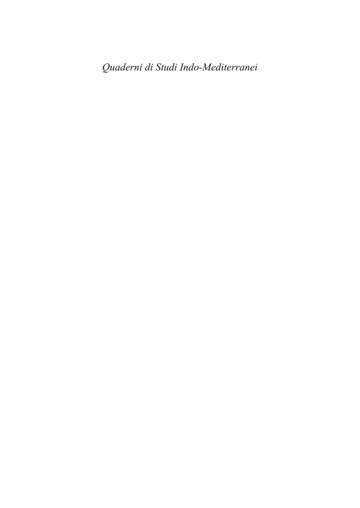*Quaderni di Studi Indo-Mediterranei*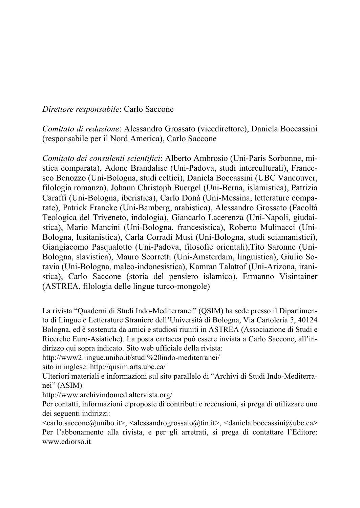*Direttore responsabile*: Carlo Saccone

*Comitato di redazione*: Alessandro Grossato (vicedirettore), Daniela Boccassini (responsabile per il Nord America), Carlo Saccone

*Comitato dei consulenti scientifici*: Alberto Ambrosio (Uni-Paris Sorbonne, mistica comparata), Adone Brandalise (Uni-Padova, studi interculturali), Francesco Benozzo (Uni-Bologna, studi celtici), Daniela Boccassini (UBC Vancouver, filologia romanza), Johann Christoph Buergel (Uni-Berna, islamistica), Patrizia Caraffi (Uni-Bologna, iberistica), Carlo Donà (Uni-Messina, letterature comparate), Patrick Francke (Uni-Bamberg, arabistica), Alessandro Grossato (Facoltà Teologica del Triveneto, indologia), Giancarlo Lacerenza (Uni-Napoli, giudaistica), Mario Mancini (Uni-Bologna, francesistica), Roberto Mulinacci (Uni-Bologna, lusitanistica), Carla Corradi Musi (Uni-Bologna, studi sciamanistici), Giangiacomo Pasqualotto (Uni-Padova, filosofie orientali),Tito Saronne (Uni-Bologna, slavistica), Mauro Scorretti (Uni-Amsterdam, linguistica), Giulio Soravia (Uni-Bologna, maleo-indonesistica), Kamran Talattof (Uni-Arizona, iranistica), Carlo Saccone (storia del pensiero islamico), Ermanno Visintainer (ASTREA, filologia delle lingue turco-mongole)

La rivista "Quaderni di Studi Indo-Mediterranei" (QSIM) ha sede presso il Dipartimento di Lingue e Letterature Straniere dell'Università di Bologna, Via Cartoleria 5, 40124 Bologna, ed è sostenuta da amici e studiosi riuniti in ASTREA (Associazione di Studi e Ricerche Euro-Asiatiche). La posta cartacea può essere inviata a Carlo Saccone, all'indirizzo qui sopra indicato. Sito web ufficiale della rivista:

http://www2.lingue.unibo.it/studi%20indo-mediterranei/

sito in inglese: http://qusim.arts.ubc.ca/

Ulteriori materiali e informazioni sul sito parallelo di "Archivi di Studi Indo-Mediterranei" (ASIM)

http://www.archivindomed.altervista.org/

Per contatti, informazioni e proposte di contributi e recensioni, si prega di utilizzare uno dei seguenti indirizzi:

 $\langle \text{cardo.saccone@unibo.it}\rangle$ ,  $\langle \text{alessandrogrossato@tin.it}\rangle$ ,  $\langle \text{daniela.boccassini@ube.ca}\rangle$ Per l'abbonamento alla rivista, e per gli arretrati, si prega di contattare l'Editore: www.ediorso.it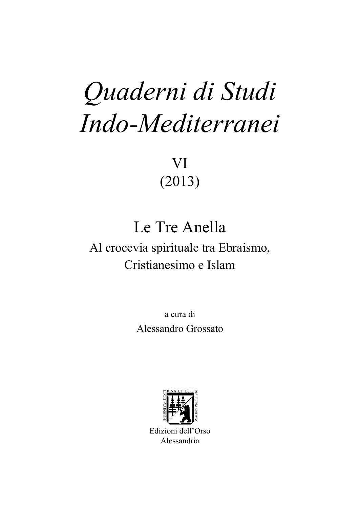# *Quaderni di Studi Indo-Mediterranei*

VI (2013)

# Le Tre Anella

## Al crocevia spirituale tra Ebraismo, Cristianesimo e Islam

a cura di Alessandro Grossato



Edizioni dell'Orso Alessandria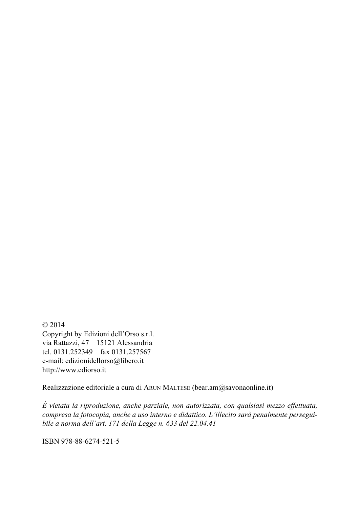© 2014 Copyright by Edizioni dell'Orso s.r.l. via Rattazzi, 47 15121 Alessandria tel. 0131.252349 fax 0131.257567 e-mail: edizionidellorso@libero.it http://www.ediorso.it

Realizzazione editoriale a cura di ARUN MALTESE (bear.am@savonaonline.it)

*È vietata la riproduzione, anche parziale, non autorizzata, con qualsiasi mezzo effettuata, compresa la fotocopia, anche a uso interno e didattico. L'illecito sarà penalmente perseguibile a norma dell'art. 171 della Legge n. 633 del 22.04.41*

ISBN 978-88-6274-521-5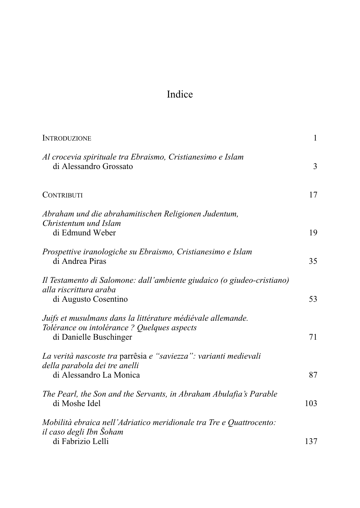### Indice

| <b>INTRODUZIONE</b>                                                                                                                  | $\mathbf{1}$ |
|--------------------------------------------------------------------------------------------------------------------------------------|--------------|
| Al crocevia spirituale tra Ebraismo, Cristianesimo e Islam<br>di Alessandro Grossato                                                 | 3            |
| <b>CONTRIBUTI</b>                                                                                                                    | 17           |
| Abraham und die abrahamitischen Religionen Judentum,<br>Christentum und Islam<br>di Edmund Weber                                     | 19           |
| Prospettive iranologiche su Ebraismo, Cristianesimo e Islam<br>di Andrea Piras                                                       | 35           |
| Il Testamento di Salomone: dall'ambiente giudaico (o giudeo-cristiano)<br>alla riscrittura araba<br>di Augusto Cosentino             | 53           |
| Juifs et musulmans dans la littérature médiévale allemande.<br>Tolérance ou intolérance ? Quelques aspects<br>di Danielle Buschinger | 71           |
| La verità nascoste tra parrêsia e "saviezza": varianti medievali<br>della parabola dei tre anelli<br>di Alessandro La Monica         | 87           |
| The Pearl, the Son and the Servants, in Abraham Abulafia's Parable<br>di Moshe Idel                                                  | 103          |
| Mobilità ebraica nell'Adriatico meridionale tra Tre e Quattrocento:<br>il caso degli Ibn Šoham                                       |              |
| di Fabrizio Lelli                                                                                                                    | 137          |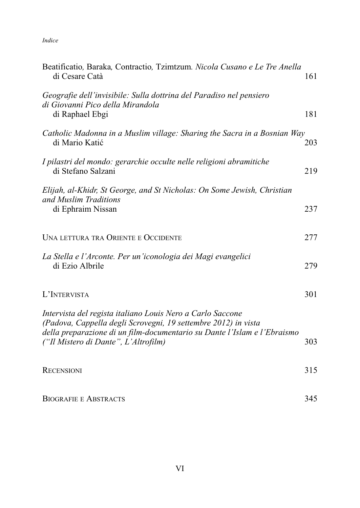*Indice*

| Beatificatio, Baraka, Contractio, Tzimtzum. Nicola Cusano e Le Tre Anella<br>di Cesare Catà                                                                                                              | 161 |
|----------------------------------------------------------------------------------------------------------------------------------------------------------------------------------------------------------|-----|
| Geografie dell'invisibile: Sulla dottrina del Paradiso nel pensiero<br>di Giovanni Pico della Mirandola<br>di Raphael Ebgi                                                                               | 181 |
| Catholic Madonna in a Muslim village: Sharing the Sacra in a Bosnian Way<br>di Mario Katić                                                                                                               | 203 |
| I pilastri del mondo: gerarchie occulte nelle religioni abramitiche<br>di Stefano Salzani                                                                                                                | 219 |
| Elijah, al-Khidr, St George, and St Nicholas: On Some Jewish, Christian                                                                                                                                  |     |
| and Muslim Traditions<br>di Ephraim Nissan                                                                                                                                                               | 237 |
| UNA LETTURA TRA ORIENTE E OCCIDENTE                                                                                                                                                                      | 277 |
| La Stella e l'Arconte. Per un'iconologia dei Magi evangelici<br>di Ezio Albrile                                                                                                                          | 279 |
| L'INTERVISTA                                                                                                                                                                                             | 301 |
| Intervista del regista italiano Louis Nero a Carlo Saccone<br>(Padova, Cappella degli Scrovegni, 19 settembre 2012) in vista<br>della preparazione di un film-documentario su Dante l'Islam e l'Ebraismo |     |
| ("Il Mistero di Dante", L'Altrofilm)                                                                                                                                                                     | 303 |
| <b>RECENSIONI</b>                                                                                                                                                                                        | 315 |
| <b>BIOGRAFIE E ABSTRACTS</b>                                                                                                                                                                             | 345 |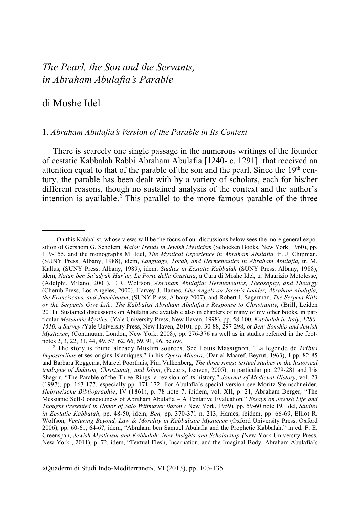#### *The Pearl, the Son and the Servants, in Abraham Abulafia's Parable*

#### di Moshe Idel

#### 1. *Abraham Abulafia's Version of the Parable in Its Context*

There is scarcely one single passage in the numerous writings of the founder of ecstatic Kabbalah Rabbi Abraham Abulafia [1240- c. 1291]<sup>I</sup> that received an attention equal to that of the parable of the son and the pearl. Since the  $19<sup>th</sup>$  century, the parable has been dealt with by a variety of scholars, each for his/her different reasons, though no sustained analysis of the context and the author's intention is available.<sup>2</sup> This parallel to the more famous parable of the three

 $1$  On this Kabbalist, whose views will be the focus of our discussions below sees the more general exposition of Gershom G. Scholem, *Major Trends in Jewish Mysticism* (Schocken Books, New York, 1960), pp. 119-155, and the monographs M. Idel, *The Mystical Experience in Abraham Abulafia.* tr. J. Chipman, (SUNY Press, Albany, 1988), idem, *Language, Torah, and Hermeneutics in Abraham Abulafia,* tr. M. Kallus, (SUNY Press, Albany, 1989), idem, *Studies in Ecstatic Kabbalah* (SUNY Press, Albany, 1988), idem, *Natan ben Sa`adyah Har`ar, Le Porte della Giustizia*, a Cura di Moshe Idel, tr. Maurizio Motolesse, (Adelphi, Milano, 2001), E.R. Wolfson, *Abraham Abulafia: Hermeneutics, Theosophy, and Theurgy* (Cherub Press, Los Angeles, 2000), Harvey J. Hames, *Like Angels on Jacob's Ladder, Abraham Abulafia, the Franciscans, and Joachimism*, (SUNY Press, Albany 2007), and Robert J. Sagerman, *The Serpent Kills or the Serpents Give Life: The Kabbalist Abraham Abulafia's Response to Christianity, (Brill, Leiden* 2011). Sustained discussions on Abulafia are available also in chapters of many of my other books, in particular *Messianic Mystics*, (Yale University Press, New Haven, 1998), pp. 58-100, *Kabbalah in Italy*, *1280- 1510, a Survey (*Yale University Press, New Haven, 2010), pp. 30-88, 297-298, or *Ben: Sonship and Jewish Mysticism*, (Continuum, London, New York, 2008), pp. 276-376 as well as in studies referred in the footnotes 2, 3, 22, 31, 44, 49, 57, 62, 66, 69, 91, 96, below.

<sup>2</sup> The story is found already Muslim sources. See Louis Massignon, "La legende de *Tribus Impostoribus* et ses origins Islamiques," in his *Opera Minora*, (Dar al-Maaref, Beyrut, 1963), I pp. 82-85 and Barbara Roggema, Marcel Poorthuis, Pim Valkenberg, *The three rings: textual studies in the historical trialogue of Judaism, Christianity, and Islam*, (Peeters, Leuven, 2005), in particular pp. 279-281 and Iris Shagrir, "The Parable of the Three Rings: a revision of its history," *Journal of Medieval History*, vol. 23 (1997), pp. 163-177, especially pp. 171-172. For Abulafia's special version see Moritz Steinschneider, *Hebraeische Bibliographie*, IV (1861), p. 78 note 7, ibidem, vol. XII, p. 21, Abraham Berger, "The Messianic Self-Consciouness of Abraham Abulafia – A Tentative Evaluation," *Essays on Jewish Life and Thought Presented in Honor of Salo Wittmayer Baron (* New York, 1959), pp. 59-60 note 19, Idel, *Studies in Ecstatic Kabbalah*, pp. 48-50, idem, *Ben,* pp. 370-371 n. 213, Hames, ibidem, pp. 66-69, Elliot R. Wolfson, *Venturing Beyond, Law & Morality in Kabbalistic Mysticism* (Oxford University Press, Oxford 2006), pp. 60-61, 64-67, idem, "Abraham ben Samuel Abulafia and the Prophetic Kabbalah," in ed. F. E. Greenspan, *Jewish Mysticism and Kabbalah: New Insights and Scholarship (New York University Press,* New York , 2011), p. 72, idem, "Textual Flesh, Incarnation, and the Imaginal Body, Abraham Abulafia's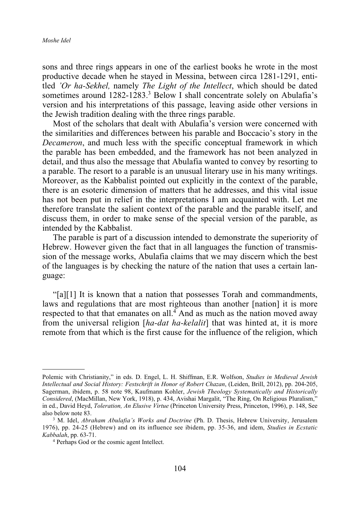sons and three rings appears in one of the earliest books he wrote in the most productive decade when he stayed in Messina, between circa 1281-1291, entitled *'Or ha-Sekhel,* namely *The Light of the Intellect*, which should be dated sometimes around  $1282-1283$ <sup>3</sup> Below I shall concentrate solely on Abulafia's version and his interpretations of this passage, leaving aside other versions in the Jewish tradition dealing with the three rings parable.

Most of the scholars that dealt with Abulafia's version were concerned with the similarities and differences between his parable and Boccacio's story in the *Decameron*, and much less with the specific conceptual framework in which the parable has been embedded, and the framework has not been analyzed in detail, and thus also the message that Abulafia wanted to convey by resorting to a parable. The resort to a parable is an unusual literary use in his many writings. Moreover, as the Kabbalist pointed out explicitly in the context of the parable, there is an esoteric dimension of matters that he addresses, and this vital issue has not been put in relief in the interpretations I am acquainted with. Let me therefore translate the salient context of the parable and the parable itself, and discuss them, in order to make sense of the special version of the parable, as intended by the Kabbalist.

The parable is part of a discussion intended to demonstrate the superiority of Hebrew. However given the fact that in all languages the function of transmission of the message works, Abulafia claims that we may discern which the best of the languages is by checking the nature of the nation that uses a certain language:

"[a][1] It is known that a nation that possesses Torah and commandments, laws and regulations that are most righteous than another [nation] it is more respected to that that emanates on all. $\frac{4}{3}$  And as much as the nation moved away from the universal religion [*ha-dat ha-kelalit*] that was hinted at, it is more remote from that which is the first cause for the influence of the religion, which

Polemic with Christianity," in eds. D. Engel, L. H. Shiffman, E.R. Wolfson, *Studies in Medieval Jewish Intellectual and Social History: Festschrift in Honor of Robert Chazan*, (Leiden, Brill, 2012), pp. 204-205, Sagerman, ibidem, p. 58 note 98, Kaufmann Kohler, *Jewish Theology Systematically and Historically Considered*, (MacMillan, New York, 1918), p. 434, Avishai Margalit, "The Ring, On Religious Pluralism," in ed., David Heyd, *Toleration, An Elusive Virtue* (Princeton University Press, Princeton, 1996), p. 148, See also below note 83.

<sup>3</sup> M. Idel, *Abraham Abulafia's Works and Doctrine* (Ph. D. Thesis, Hebrew University, Jerusalem 1976), pp. 24-25 (Hebrew) and on its influence see ibidem, pp. 35-36, and idem, *Studies in Ecstatic Kabbalah*, pp. 63-71.

<sup>4</sup> Perhaps God or the cosmic agent Intellect.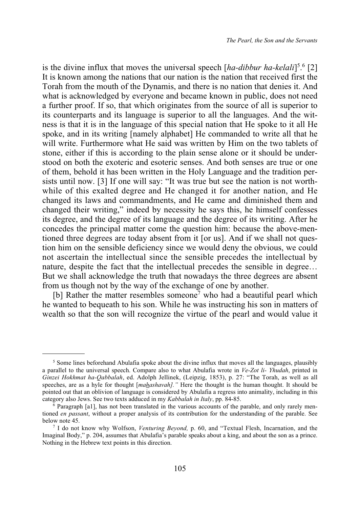is the divine influx that moves the universal speech [*ha-dibbur ha-kelali*] 5 . <sup>6</sup> [2] It is known among the nations that our nation is the nation that received first the Torah from the mouth of the Dynamis, and there is no nation that denies it. And what is acknowledged by everyone and became known in public, does not need a further proof. If so, that which originates from the source of all is superior to its counterparts and its language is superior to all the languages. And the witness is that it is in the language of this special nation that He spoke to it all He spoke, and in its writing [namely alphabet] He commanded to write all that he will write. Furthermore what He said was written by Him on the two tablets of stone, either if this is according to the plain sense alone or it should be understood on both the exoteric and esoteric senses. And both senses are true or one of them, behold it has been written in the Holy Language and the tradition persists until now. [3] If one will say: "It was true but see the nation is not worthwhile of this exalted degree and He changed it for another nation, and He changed its laws and commandments, and He came and diminished them and changed their writing," indeed by necessity he says this, he himself confesses its degree, and the degree of its language and the degree of its writing. After he concedes the principal matter come the question him: because the above-mentioned three degrees are today absent from it [or us]. And if we shall not question him on the sensible deficiency since we would deny the obvious, we could not ascertain the intellectual since the sensible precedes the intellectual by nature, despite the fact that the intellectual precedes the sensible in degree… But we shall acknowledge the truth that nowadays the three degrees are absent from us though not by the way of the exchange of one by another.

[b] Rather the matter resembles someone<sup>7</sup> who had a beautiful pearl which he wanted to bequeath to his son. While he was instructing his son in matters of wealth so that the son will recognize the virtue of the pearl and would value it

<sup>&</sup>lt;sup>5</sup> Some lines beforehand Abulafia spoke about the divine influx that moves all the languages, plausibly a parallel to the universal speech. Compare also to what Abulafia wrote in *Ve-Zot li- Yhudah*, printed in *Ginzei Hokhmat ha-Qabbalah*, ed. Adolph Jellinek, (Leipzig, 1853), p. 27: "The Torah, as well as all speeches, are as a hyle for thought [*mahashavah]."* Here the thought is the human thought. It should be pointed out that an oblivion of language is considered by Abulafia a regress into animality, including in this category also Jews. See two texts adduced in my *Kabbalah in Italy*, pp. 84-85.

<sup>6</sup> Paragraph [a1], has not been translated in the various accounts of the parable, and only rarely mentioned *en passant*, without a proper analysis of its contribution for the understanding of the parable. See below note 45.

<sup>7</sup> I do not know why Wolfson, *Venturing Beyond,* p. 60, and "Textual Flesh, Incarnation, and the Imaginal Body," p. 204, assumes that Abulafia's parable speaks about a king, and about the son as a prince. Nothing in the Hebrew text points in this direction.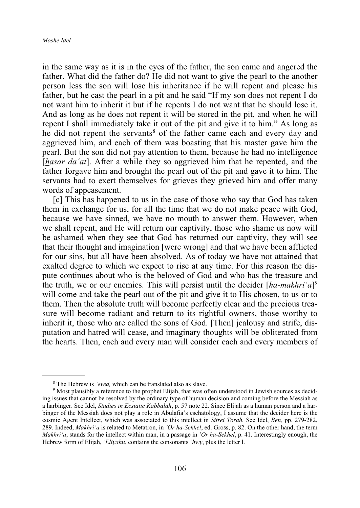in the same way as it is in the eyes of the father, the son came and angered the father. What did the father do? He did not want to give the pearl to the another person less the son will lose his inheritance if he will repent and please his father, but he cast the pearl in a pit and he said "If my son does not repent I do not want him to inherit it but if he repents I do not want that he should lose it. And as long as he does not repent it will be stored in the pit, and when he will repent I shall immediately take it out of the pit and give it to him." As long as he did not repent the servants<sup>8</sup> of the father came each and every day and aggrieved him, and each of them was boasting that his master gave him the pearl. But the son did not pay attention to them, because he had no intelligence [*hasar da'at*]. After a while they so aggrieved him that he repented, and the father forgave him and brought the pearl out of the pit and gave it to him. The servants had to exert themselves for grieves they grieved him and offer many words of appeasement.

[c] This has happened to us in the case of those who say that God has taken them in exchange for us, for all the time that we do not make peace with God, because we have sinned, we have no mouth to answer them. However, when we shall repent, and He will return our captivity, those who shame us now will be ashamed when they see that God has returned our captivity, they will see that their thought and imagination [were wrong] and that we have been afflicted for our sins, but all have been absolved. As of today we have not attained that exalted degree to which we expect to rise at any time. For this reason the dispute continues about who is the beloved of God and who has the treasure and the truth, we or our enemies. This will persist until the decider [*ha-makhri'a*] 9 will come and take the pearl out of the pit and give it to His chosen, to us or to them. Then the absolute truth will become perfectly clear and the precious treasure will become radiant and return to its rightful owners, those worthy to inherit it, those who are called the sons of God. [Then] jealousy and strife, disputation and hatred will cease, and imaginary thoughts will be obliterated from the hearts. Then, each and every man will consider each and every members of

<sup>8</sup> The Hebrew is *'eved,* which can be translated also as slave.

<sup>9</sup> Most plausibly a reference to the prophet Elijah, that was often understood in Jewish sources as deciding issues that cannot be resolved by the ordinary type of human decision and coming before the Messiah as a harbinger. See Idel, *Studies in Ecstatic Kabbalah*, p. 57 note 22. Since Elijah as a human person and a harbinger of the Messiah does not play a role in Abulafia's eschatology, I assume that the decider here is the cosmic Agent Intellect, which was associated to this intellect in *Sitrei Torah.* See Idel, *Ben,* pp. 279-282, 289. Indeed, *Makhri'a* is related to Metatron, in *'Or ha-Sekhel*, ed. Gross, p. 82. On the other hand, the term *Makhri'a*, stands for the intellect within man, in a passage in *'Or ha-Sekhel*, p. 41. Interestingly enough, the Hebrew form of Elijah, *'Eliyahu*, contains the consonants *'hwy*, plus the letter l.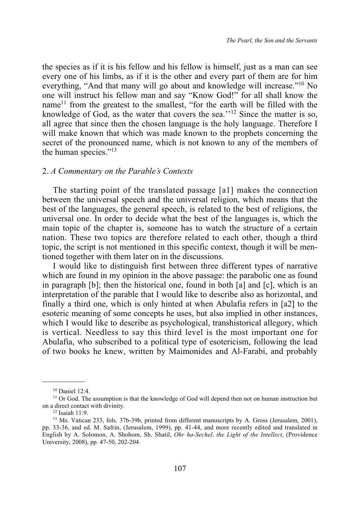the species as if it is his fellow and his fellow is himself, just as a man can see every one of his limbs, as if it is the other and every part of them are for him everything, "And that many will go about and knowledge will increase."10 No one will instruct his fellow man and say "Know God!" for all shall know the name<sup>11</sup> from the greatest to the smallest, "for the earth will be filled with the knowledge of God, as the water that covers the sea.''12 Since the matter is so, all agree that since then the chosen language is the holy language. Therefore I will make known that which was made known to the prophets concerning the secret of the pronounced name, which is not known to any of the members of the human species."<sup>13</sup>

#### 2. *A Commentary on the Parable's Contexts*

The starting point of the translated passage [a1] makes the connection between the universal speech and the universal religion, which means that the best of the languages, the general speech, is related to the best of religions, the universal one. In order to decide what the best of the languages is, which the main topic of the chapter is, someone has to watch the structure of a certain nation. These two topics are therefore related to each other, though a third topic, the script is not mentioned in this specific context, though it will be mentioned together with them later on in the discussions.

I would like to distinguish first between three different types of narrative which are found in my opinion in the above passage: the parabolic one as found in paragraph [b]; then the historical one, found in both [a] and [c], which is an interpretation of the parable that I would like to describe also as horizontal, and finally a third one, which is only hinted at when Abulafia refers in [a2] to the esoteric meaning of some concepts he uses, but also implied in other instances, which I would like to describe as psychological, transhistorical allegory, which is vertical. Needless to say this third level is the most important one for Abulafia, who subscribed to a political type of esotericism, following the lead of two books he knew, written by Maimonides and Al-Farabi, and probably

<sup>10</sup> Daniel 12:4.

<sup>&</sup>lt;sup>11</sup> Or God. The assumption is that the knowledge of God will depend then not on human instruction but on a direct contact with divinity.

<sup>12</sup> Isaiah 11:9.

<sup>&</sup>lt;sup>13</sup> Ms. Vatican 233, fols. 37b-39b, printed from different manuscripts by A. Gross (Jerusalem, 2001), pp. 33-36, and ed. M. Safrin, (Jerusalem, 1999), pp. 41-44, and more recently edited and translated in English by A. Solomon, A. Shohom, Sh. Shatil, *Ohr ha-Sechel, the Light of the Intellect*, (Providence University, 2008), pp. 47-50, 202-204.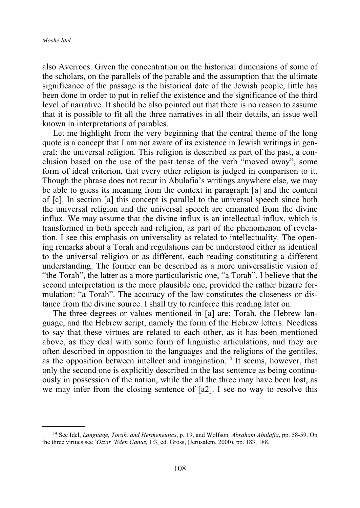also Averroes. Given the concentration on the historical dimensions of some of the scholars, on the parallels of the parable and the assumption that the ultimate significance of the passage is the historical date of the Jewish people, little has been done in order to put in relief the existence and the significance of the third level of narrative. It should be also pointed out that there is no reason to assume that it is possible to fit all the three narratives in all their details, an issue well known in interpretations of parables.

Let me highlight from the very beginning that the central theme of the long quote is a concept that I am not aware of its existence in Jewish writings in general: the universal religion. This religion is described as part of the past, a conclusion based on the use of the past tense of the verb "moved away", some form of ideal criterion, that every other religion is judged in comparison to it. Though the phrase does not recur in Abulafia's writings anywhere else, we may be able to guess its meaning from the context in paragraph [a] and the content of [c]. In section [a] this concept is parallel to the universal speech since both the universal religion and the universal speech are emanated from the divine influx. We may assume that the divine influx is an intellectual influx, which is transformed in both speech and religion, as part of the phenomenon of revelation. I see this emphasis on universality as related to intellectuality. The opening remarks about a Torah and regulations can be understood either as identical to the universal religion or as different, each reading constituting a different understanding. The former can be described as a more universalistic vision of "the Torah", the latter as a more particularistic one, "a Torah". I believe that the second interpretation is the more plausible one, provided the rather bizarre formulation: "a Torah". The accuracy of the law constitutes the closeness or distance from the divine source. I shall try to reinforce this reading later on.

The three degrees or values mentioned in [a] are: Torah, the Hebrew language, and the Hebrew script, namely the form of the Hebrew letters. Needless to say that these virtues are related to each other, as it has been mentioned above, as they deal with some form of linguistic articulations, and they are often described in opposition to the languages and the religions of the gentiles, as the opposition between intellect and imagination.14 It seems, however, that only the second one is explicitly described in the last sentence as being continuously in possession of the nation, while the all the three may have been lost, as we may infer from the closing sentence of [a2]. I see no way to resolve this

<sup>14</sup> See Idel, *Language, Torah, and Hermeneutics*, p. 19, and Wolfson*, Abraham Abulafia*, pp. 58-59. On the three virtues see '*Otzar 'Eden Ganuz,* 1:3, ed. Gross, (Jerusalem, 2000), pp. 183, 188.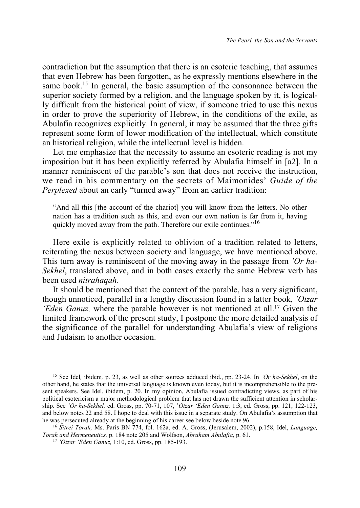contradiction but the assumption that there is an esoteric teaching, that assumes that even Hebrew has been forgotten, as he expressly mentions elsewhere in the same book.<sup>15</sup> In general, the basic assumption of the consonance between the superior society formed by a religion, and the language spoken by it, is logically difficult from the historical point of view, if someone tried to use this nexus in order to prove the superiority of Hebrew, in the conditions of the exile, as Abulafia recognizes explicitly. In general, it may be assumed that the three gifts represent some form of lower modification of the intellectual, which constitute an historical religion, while the intellectual level is hidden.

Let me emphasize that the necessity to assume an esoteric reading is not my imposition but it has been explicitly referred by Abulafia himself in [a2]. In a manner reminiscent of the parable's son that does not receive the instruction, we read in his commentary on the secrets of Maimonides' *Guide of the Perplexed* about an early "turned away" from an earlier tradition:

"And all this [the account of the chariot] you will know from the letters. No other nation has a tradition such as this, and even our own nation is far from it, having quickly moved away from the path. Therefore our exile continues."16

Here exile is explicitly related to oblivion of a tradition related to letters, reiterating the nexus between society and language, we have mentioned above. This turn away is reminiscent of the moving away in the passage from *'Or ha-Sekhel*, translated above, and in both cases exactly the same Hebrew verb has been used *nitrahaqah*.

It should be mentioned that the context of the parable, has a very significant, though unnoticed, parallel in a lengthy discussion found in a latter book, *'Otzar 'Eden Ganuz*, where the parable however is not mentioned at all.<sup>17</sup> Given the limited framework of the present study, I postpone the more detailed analysis of the significance of the parallel for understanding Abulafia's view of religions and Judaism to another occasion.

<sup>15</sup> See Idel*,* ibidem*,* p. 23, as well as other sources adduced ibid., pp. 23-24. In *'Or ha-Sekhel*, on the other hand, he states that the universal language is known even today, but it is incomprehensible to the present speakers. See Idel, ibidem, p. 20. In my opinion, Abulafia issued contradicting views, as part of his political esotericism a major methodological problem that has not drawn the sufficient attention in scholarship. See *'Or ha-Sekhel,* ed. Gross, pp. 70-71, 107, '*Otzar 'Eden Ganuz,* 1:3, ed. Gross, pp. 121, 122-123, and below notes 22 and 58. I hope to deal with this issue in a separate study. On Abulafia's assumption that he was persecuted already at the beginning of his career see below beside note 96.

<sup>16</sup> *Sitrei Torah,* Ms. Paris BN 774, fol. 162a, ed. A. Gross, (Jerusalem, 2002), p.158, Idel, *Language, Torah and Hermeneutics,* p. 184 note 205 and Wolfson, *Abraham Abulafia*, p. 61.

<sup>17</sup> *'Otzar 'Eden Ganuz,* 1:10, ed. Gross, pp. 185-193.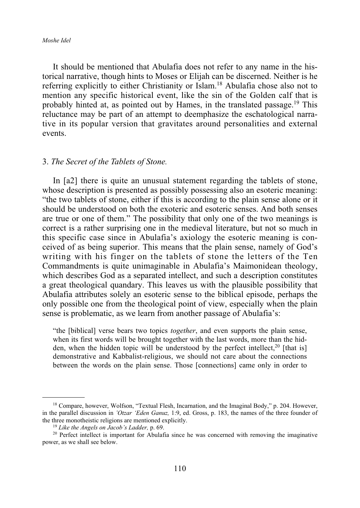*Moshe Idel*

It should be mentioned that Abulafia does not refer to any name in the historical narrative, though hints to Moses or Elijah can be discerned. Neither is he referring explicitly to either Christianity or Islam.18 Abulafia chose also not to mention any specific historical event, like the sin of the Golden calf that is probably hinted at, as pointed out by Hames, in the translated passage.<sup>19</sup> This reluctance may be part of an attempt to deemphasize the eschatological narrative in its popular version that gravitates around personalities and external events.

#### 3. *The Secret of the Tablets of Stone.*

In [a2] there is quite an unusual statement regarding the tablets of stone, whose description is presented as possibly possessing also an esoteric meaning: "the two tablets of stone, either if this is according to the plain sense alone or it should be understood on both the exoteric and esoteric senses. And both senses are true or one of them." The possibility that only one of the two meanings is correct is a rather surprising one in the medieval literature, but not so much in this specific case since in Abulafia's axiology the esoteric meaning is conceived of as being superior. This means that the plain sense, namely of God's writing with his finger on the tablets of stone the letters of the Ten Commandments is quite unimaginable in Abulafia's Maimonidean theology, which describes God as a separated intellect, and such a description constitutes a great theological quandary. This leaves us with the plausible possibility that Abulafia attributes solely an esoteric sense to the biblical episode, perhaps the only possible one from the theological point of view, especially when the plain sense is problematic, as we learn from another passage of Abulafia's:

"the [biblical] verse bears two topics *together*, and even supports the plain sense, when its first words will be brought together with the last words, more than the hidden, when the hidden topic will be understood by the perfect intellect,<sup>20</sup> [that is] demonstrative and Kabbalist-religious, we should not care about the connections between the words on the plain sense. Those [connections] came only in order to

<sup>18</sup> Compare, however, Wolfson, "Textual Flesh, Incarnation, and the Imaginal Body," p. 204. However, in the parallel discussion in *'Otzar 'Eden Ganuz,* 1:9, ed. Gross, p. 183, the names of the three founder of the three monotheistic religions are mentioned explicitly.

<sup>19</sup> *Like the Angels on Jacob's Ladder,* p. 69.

<sup>&</sup>lt;sup>20</sup> Perfect intellect is important for Abulafia since he was concerned with removing the imaginative power, as we shall see below.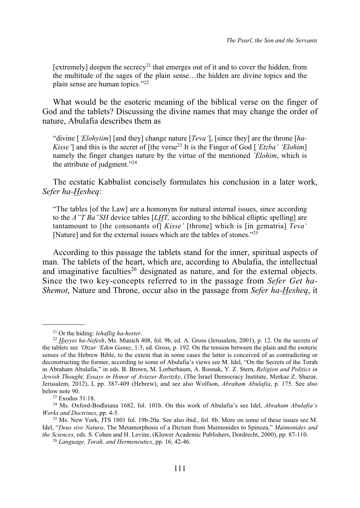[extremely] deepen the secrecy<sup>21</sup> that emerges out of it and to cover the hidden, from the multitude of the sages of the plain sense…the hidden are divine topics and the plain sense are human topics."22

What would be the esoteric meaning of the biblical verse on the finger of God and the tablets? Discussing the divine names that may change the order of nature, Abulafia describes them as

"divine [*'Elohyiim*] [and they] change nature [*Teva'*], [since they] are the throne [*ha-Kisse'*] and this is the secret of [the verse<sup>23</sup> It is the Finger of God [*'Etzba' 'Elohim*] namely the finger changes nature by the virtue of the mentioned *'Elohim*, which is the attribute of judgment."24

The ecstatic Kabbalist concisely formulates his conclusion in a later work, *Sefer ha-Hesheq*:

"The tables [of the Law] are a homonym for natural internal issues, since according to the *A"T Ba"SH* device tables [*LHT,* according to the biblical elliptic spelling] are tantamount to [the consonants of] *Kisse'* [throne] which is [in gematria] *Teva'* [Nature] and for the external issues which are the tables of stones."<sup>25</sup>

According to this passage the tablets stand for the inner, spiritual aspects of man. The tablets of the heart, which are, according to Abulafia, the intellectual and imaginative faculties<sup>26</sup> designated as nature, and for the external objects. Since the two key-concepts referred to in the passage from *Sefer Get ha-Shemot*, Nature and Throne, occur also in the passage from *Sefer ha-Hesheq*, it

<sup>21</sup> Or the hiding: *lehaflig ha-hester*.

<sup>22</sup> *Hayyei ha-Nefesh*, Ms. Munich 408, fol. 9b, ed. A. Gross (Jerusalem, 2001), p. 12. On the secrets of the tablets see *'Otzar 'Eden Ganuz*, 1:3, ed. Gross, p. 192. On the tension between the plain and the esoteric senses of the Hebrew Bible, to the extent that in some cases the latter is conceived of as contradicting or deconstructing the former, according to some of Abulafia's views see M. Idel, "On the Secrets of the Torah in Abraham Abulafia," in eds. B. Brown, M. Lorberbaum, A. Rosnak, Y. Z. Stern, *Religion and Politics in Jewish Thought, Essays in Honor of Aviezer Ravitzky*, (The Israel Democracy Institute, Merkaz Z. Shazar, Jerusalem, 2012), I, pp. 387-409 (Hebrew), and see also Wolfson, *Abraham Abulafia*, p. 175. See also below note 90.

<sup>23</sup> Exodus 31:18.

<sup>24</sup> Ms. Oxford-Bodleiana 1682, fol. 101b. On this work of Abulafia's see Idel, *Abraham Abulafia's Works and Doctrines*, pp. 4-5.

<sup>25</sup> Ms. New York, JTS 1801 fol. 19b-20a. See also ibid., fol. 8b. More on some of these issues see M. Idel, "*Deus sive Natura*, The Metamorphosis of a Dictum from Maimonides to Spinoza," *Maimonides and the Sciences,* eds. S. Cohen and H. Levine, (Kluwer Academic Publishers, Dordrecht, 2000), pp. 87-110.

<sup>26</sup> *Language, Torah, and Hermeneutics*, pp. 16, 42-46.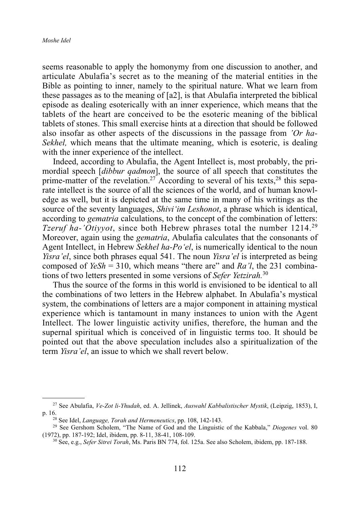seems reasonable to apply the homonymy from one discussion to another, and articulate Abulafia's secret as to the meaning of the material entities in the Bible as pointing to inner, namely to the spiritual nature. What we learn from these passages as to the meaning of [a2], is that Abulafia interpreted the biblical episode as dealing esoterically with an inner experience, which means that the tablets of the heart are conceived to be the esoteric meaning of the biblical tablets of stones. This small exercise hints at a direction that should be followed also insofar as other aspects of the discussions in the passage from *'Or ha-Sekhel,* which means that the ultimate meaning, which is esoteric, is dealing with the inner experience of the intellect.

Indeed, according to Abulafia, the Agent Intellect is, most probably, the primordial speech [*dibbur qadmon*], the source of all speech that constitutes the prime-matter of the revelation.<sup>27</sup> According to several of his texts,<sup>28</sup> this separate intellect is the source of all the sciences of the world, and of human knowledge as well, but it is depicted at the same time in many of his writings as the source of the seventy languages, *Shivi'im Leshonot*, a phrase which is identical, according to *gematria* calculations, to the concept of the combination of letters: *Tzeruf ha-'Otivyot*, since both Hebrew phrases total the number 1214.<sup>29</sup> Moreover, again using the *gematria*, Abulafia calculates that the consonants of Agent Intellect, in Hebrew *Sekhel ha-Po'el*, is numerically identical to the noun *Yisra'el*, since both phrases equal 541. The noun *Yisra'el* is interpreted as being composed of *YeSh* = 310, which means "there are" and *Ra'l*, the 231 combinations of two letters presented in some versions of *Sefer Yetzirah.*<sup>30</sup>

Thus the source of the forms in this world is envisioned to be identical to all the combinations of two letters in the Hebrew alphabet. In Abulafia's mystical system, the combinations of letters are a major component in attaining mystical experience which is tantamount in many instances to union with the Agent Intellect. The lower linguistic activity unifies, therefore, the human and the supernal spiritual which is conceived of in linguistic terms too. It should be pointed out that the above speculation includes also a spiritualization of the term *Yisra'el*, an issue to which we shall revert below.

<sup>27</sup> See Abulafia, *Ve-Zot li-Yhudah*, ed. A. Jellinek, *Auswahl Kabbalistischer Mystik*, (Leipzig, 1853), I, p. 16.

<sup>28</sup> See Idel, *Language, Torah and Hermeneutics*, pp. 108, 142-143.

<sup>29</sup> See Gershom Scholem, "The Name of God and the Linguistic of the Kabbala," *Diogenes* vol. 80 (1972), pp. 187-192; Idel, ibidem, pp. 8-11, 38-41, 108-109.

<sup>30</sup> See, e.g., *Sefer Sitrei Torah*, Ms. Paris BN 774, fol. 125a. See also Scholem, ibidem, pp. 187-188.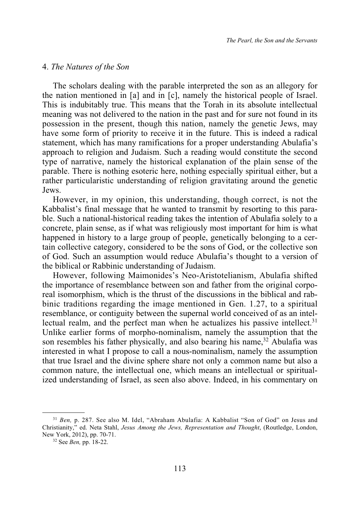#### 4. *The Natures of the Son*

The scholars dealing with the parable interpreted the son as an allegory for the nation mentioned in [a] and in [c], namely the historical people of Israel. This is indubitably true. This means that the Torah in its absolute intellectual meaning was not delivered to the nation in the past and for sure not found in its possession in the present, though this nation, namely the genetic Jews, may have some form of priority to receive it in the future. This is indeed a radical statement, which has many ramifications for a proper understanding Abulafia's approach to religion and Judaism. Such a reading would constitute the second type of narrative, namely the historical explanation of the plain sense of the parable. There is nothing esoteric here, nothing especially spiritual either, but a rather particularistic understanding of religion gravitating around the genetic Jews.

However, in my opinion, this understanding, though correct, is not the Kabbalist's final message that he wanted to transmit by resorting to this parable. Such a national-historical reading takes the intention of Abulafia solely to a concrete, plain sense, as if what was religiously most important for him is what happened in history to a large group of people, genetically belonging to a certain collective category, considered to be the sons of God, or the collective son of God. Such an assumption would reduce Abulafia's thought to a version of the biblical or Rabbinic understanding of Judaism.

However, following Maimonides's Neo-Aristotelianism, Abulafia shifted the importance of resemblance between son and father from the original corporeal isomorphism, which is the thrust of the discussions in the biblical and rabbinic traditions regarding the image mentioned in Gen. 1.27, to a spiritual resemblance, or contiguity between the supernal world conceived of as an intellectual realm, and the perfect man when he actualizes his passive intellect.<sup>31</sup> Unlike earlier forms of morpho-nominalism, namely the assumption that the son resembles his father physically, and also bearing his name,  $32$  Abulafia was interested in what I propose to call a nous-nominalism, namely the assumption that true Israel and the divine sphere share not only a common name but also a common nature, the intellectual one, which means an intellectual or spiritualized understanding of Israel, as seen also above. Indeed, in his commentary on

<sup>31</sup> *Ben,* p. 287. See also M. Idel, "Abraham Abulafia: A Kabbalist "Son of God" on Jesus and Christianity," ed. Neta Stahl, *Jesus Among the Jews, Representation and Thought*, (Routledge, London, New York, 2012), pp. 70-71.

<sup>32</sup> See *Ben,* pp. 18-22.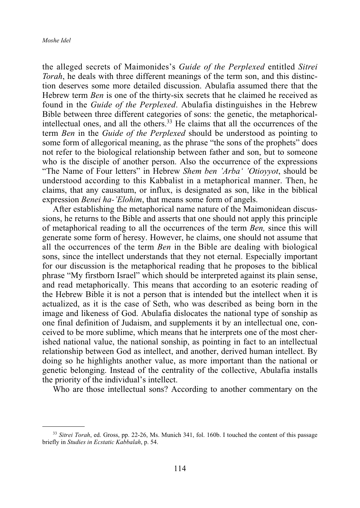the alleged secrets of Maimonides's *Guide of the Perplexed* entitled *Sitrei Torah*, he deals with three different meanings of the term son, and this distinction deserves some more detailed discussion. Abulafia assumed there that the Hebrew term *Ben* is one of the thirty-six secrets that he claimed he received as found in the *Guide of the Perplexed*. Abulafia distinguishes in the Hebrew Bible between three different categories of sons: the genetic, the metaphoricalintellectual ones, and all the others.33 He claims that all the occurrences of the term *Ben* in the *Guide of the Perplexed* should be understood as pointing to some form of allegorical meaning, as the phrase "the sons of the prophets" does not refer to the biological relationship between father and son, but to someone who is the disciple of another person. Also the occurrence of the expressions "The Name of Four letters" in Hebrew *Shem ben 'Arba' 'Otioyyot*, should be understood according to this Kabbalist in a metaphorical manner. Then, he claims, that any causatum, or influx, is designated as son, like in the biblical expression *Benei ha-'Elohim*, that means some form of angels.

After establishing the metaphorical name nature of the Maimonidean discussions, he returns to the Bible and asserts that one should not apply this principle of metaphorical reading to all the occurrences of the term *Ben,* since this will generate some form of heresy. However, he claims, one should not assume that all the occurrences of the term *Ben* in the Bible are dealing with biological sons, since the intellect understands that they not eternal. Especially important for our discussion is the metaphorical reading that he proposes to the biblical phrase "My firstborn Israel" which should be interpreted against its plain sense, and read metaphorically. This means that according to an esoteric reading of the Hebrew Bible it is not a person that is intended but the intellect when it is actualized, as it is the case of Seth, who was described as being born in the image and likeness of God. Abulafia dislocates the national type of sonship as one final definition of Judaism, and supplements it by an intellectual one, conceived to be more sublime, which means that he interprets one of the most cherished national value, the national sonship, as pointing in fact to an intellectual relationship between God as intellect, and another, derived human intellect. By doing so he highlights another value, as more important than the national or genetic belonging. Instead of the centrality of the collective, Abulafia installs the priority of the individual's intellect.

Who are those intellectual sons? According to another commentary on the

<sup>33</sup> *Sitrei Torah*, ed. Gross, pp. 22-26, Ms. Munich 341, fol. 160b. I touched the content of this passage briefly in *Studies in Ecstatic Kabbalah*, p. 54.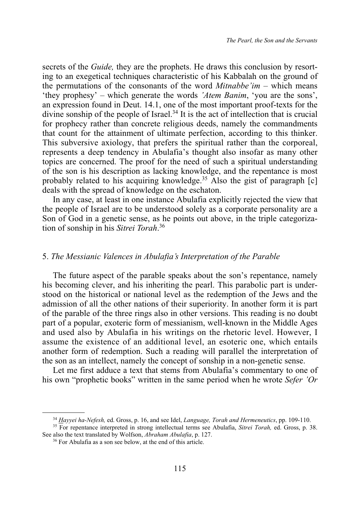secrets of the *Guide,* they are the prophets. He draws this conclusion by resorting to an exegetical techniques characteristic of his Kabbalah on the ground of the permutations of the consonants of the word *Mitnabbe'im* – which means 'they prophesy' – which generate the words *'Atem Banim*, 'you are the sons', an expression found in Deut. 14.1, one of the most important proof-texts for the divine sonship of the people of Israel.<sup>34</sup> It is the act of intellection that is crucial for prophecy rather than concrete religious deeds, namely the commandments that count for the attainment of ultimate perfection, according to this thinker. This subversive axiology, that prefers the spiritual rather than the corporeal, represents a deep tendency in Abulafia's thought also insofar as many other topics are concerned. The proof for the need of such a spiritual understanding of the son is his description as lacking knowledge, and the repentance is most probably related to his acquiring knowledge.<sup>35</sup> Also the gist of paragraph  $[c]$ deals with the spread of knowledge on the eschaton.

In any case, at least in one instance Abulafia explicitly rejected the view that the people of Israel are to be understood solely as a corporate personality are a Son of God in a genetic sense, as he points out above, in the triple categorization of sonship in his *Sitrei Torah*. 36

#### 5. *The Messianic Valences in Abulafia's Interpretation of the Parable*

The future aspect of the parable speaks about the son's repentance, namely his becoming clever, and his inheriting the pearl. This parabolic part is understood on the historical or national level as the redemption of the Jews and the admission of all the other nations of their superiority. In another form it is part of the parable of the three rings also in other versions. This reading is no doubt part of a popular, exoteric form of messianism, well-known in the Middle Ages and used also by Abulafia in his writings on the rhetoric level. However, I assume the existence of an additional level, an esoteric one, which entails another form of redemption. Such a reading will parallel the interpretation of the son as an intellect, namely the concept of sonship in a non-genetic sense.

Let me first adduce a text that stems from Abulafia's commentary to one of his own "prophetic books" written in the same period when he wrote *Sefer 'Or*

<sup>34</sup> *Hayyei ha-Nefesh,* ed. Gross, p. 16, and see Idel, *Language, Torah and Hermeneutics*, pp. 109-110.

<sup>35</sup> For repentance interpreted in strong intellectual terms see Abulafia, *Sitrei Torah,* ed. Gross, p. 38. See also the text translated by Wolfson, *Abraham Abulafia*, p. 127.

<sup>36</sup> For Abulafia as a son see below, at the end of this article.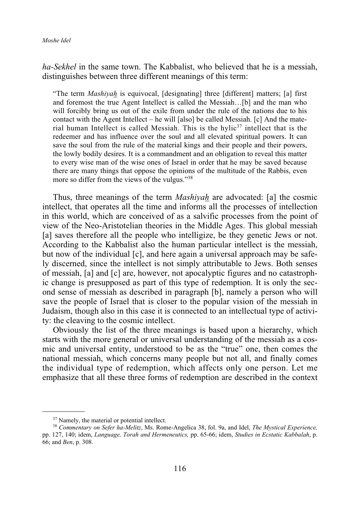*ha-Sekhel* in the same town. The Kabbalist, who believed that he is a messiah, distinguishes between three different meanings of this term:

"The term *Mashiyah* is equivocal, [designating] three [different] matters; [a] first and foremost the true Agent Intellect is called the Messiah…[b] and the man who will forcibly bring us out of the exile from under the rule of the nations due to his contact with the Agent Intellect – he will [also] be called Messiah. [c] And the material human Intellect is called Messiah. This is the hylic<sup>37</sup> intellect that is the redeemer and has influence over the soul and all elevated spiritual powers. It can save the soul from the rule of the material kings and their people and their powers, the lowly bodily desires. It is a commandment and an obligation to reveal this matter to every wise man of the wise ones of Israel in order that he may be saved because there are many things that oppose the opinions of the multitude of the Rabbis, even more so differ from the views of the vulgus."38

Thus, three meanings of the term *Mashiyah* are advocated: [a] the cosmic intellect, that operates all the time and informs all the processes of intellection in this world, which are conceived of as a salvific processes from the point of view of the Neo-Aristotelian theories in the Middle Ages. This global messiah [a] saves therefore all the people who intelligize, be they genetic Jews or not. According to the Kabbalist also the human particular intellect is the messiah, but now of the individual [c], and here again a universal approach may be safely discerned, since the intellect is not simply attributable to Jews. Both senses of messiah, [a] and [c] are, however, not apocalyptic figures and no catastrophic change is presupposed as part of this type of redemption. It is only the second sense of messiah as described in paragraph [b], namely a person who will save the people of Israel that is closer to the popular vision of the messiah in Judaism, though also in this case it is connected to an intellectual type of activity: the cleaving to the cosmic intellect.

Obviously the list of the three meanings is based upon a hierarchy, which starts with the more general or universal understanding of the messiah as a cosmic and universal entity, understood to be as the "true" one, then comes the national messiah, which concerns many people but not all, and finally comes the individual type of redemption, which affects only one person. Let me emphasize that all these three forms of redemption are described in the context

<sup>&</sup>lt;sup>37</sup> Namely, the material or potential intellect.

<sup>38</sup> *Commentary on Sefer ha-Melitz*, Ms. Rome-Angelica 38, fol. 9a, and Idel, *The Mystical Experience,* pp. 127, 140; idem, *Language, Torah and Hermeneutics,* pp. 65-66; idem, *Studies in Ecstatic Kabbalah*, p. 66; and *Ben*, p. 308.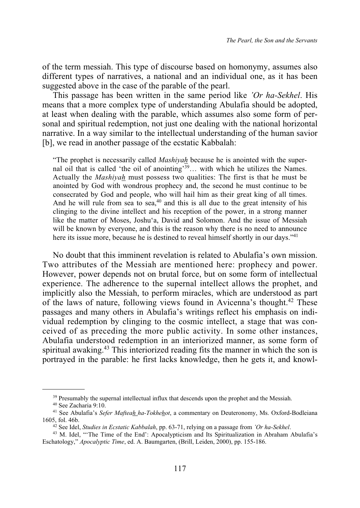of the term messiah. This type of discourse based on homonymy, assumes also different types of narratives, a national and an individual one, as it has been suggested above in the case of the parable of the pearl.

This passage has been written in the same period like *'Or ha-Sekhel*. His means that a more complex type of understanding Abulafia should be adopted, at least when dealing with the parable, which assumes also some form of personal and spiritual redemption, not just one dealing with the national horizontal narrative. In a way similar to the intellectual understanding of the human savior [b], we read in another passage of the ecstatic Kabbalah:

"The prophet is necessarily called *Mashiyah* because he is anointed with the supernal oil that is called 'the oil of anointing'39… with which he utilizes the Names. Actually the *Mashiyah* must possess two qualities: The first is that he must be anointed by God with wondrous prophecy and, the second he must continue to be consecrated by God and people, who will hail him as their great king of all times. And he will rule from sea to sea, $40$  and this is all due to the great intensity of his clinging to the divine intellect and his reception of the power, in a strong manner like the matter of Moses, Joshu'a, David and Solomon. And the issue of Messiah will be known by everyone, and this is the reason why there is no need to announce here its issue more, because he is destined to reveal himself shortly in our days.<sup>"41</sup>

No doubt that this imminent revelation is related to Abulafia's own mission. Two attributes of the Messiah are mentioned here: prophecy and power. However, power depends not on brutal force, but on some form of intellectual experience. The adherence to the supernal intellect allows the prophet, and implicitly also the Messiah, to perform miracles, which are understood as part of the laws of nature, following views found in Avicenna's thought.<sup>42</sup> These passages and many others in Abulafia's writings reflect his emphasis on individual redemption by clinging to the cosmic intellect, a stage that was conceived of as preceding the more public activity. In some other instances, Abulafia understood redemption in an interiorized manner, as some form of spiritual awaking.<sup>43</sup> This interiorized reading fits the manner in which the son is portrayed in the parable: he first lacks knowledge, then he gets it, and knowl-

<sup>&</sup>lt;sup>39</sup> Presumably the supernal intellectual influx that descends upon the prophet and the Messiah.

<sup>40</sup> See Zacharia 9:10.

<sup>41</sup> See Abulafia's *Sefer Mafteah ha-Tokhehot*, a commentary on Deuteronomy, Ms. Oxford-Bodleiana 1605, fol. 46b.

<sup>42</sup> See Idel, *Studies in Ecstatic Kabbalah*, pp. 63-71, relying on a passage from *'Or ha-Sekhel*.

<sup>&</sup>lt;sup>43</sup> M. Idel, "The Time of the End': Apocalypticism and Its Spiritualization in Abraham Abulafia's Eschatology," *Apocalyptic Time*, ed. A. Baumgarten, (Brill, Leiden, 2000), pp. 155-186.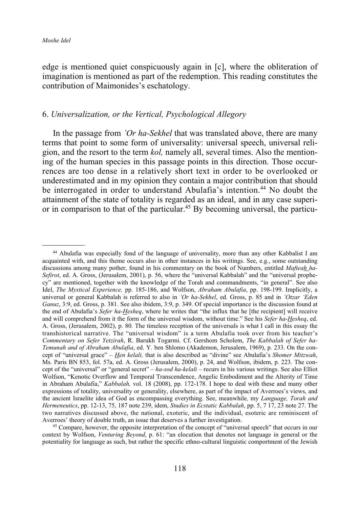edge is mentioned quiet conspicuously again in [c], where the obliteration of imagination is mentioned as part of the redemption. This reading constitutes the contribution of Maimonides's eschatology.

#### 6. *Universalization, or the Vertical, Psychological Allegory*

In the passage from *'Or ha-Sekhel* that was translated above, there are many terms that point to some form of universality: universal speech, universal religion, and the resort to the term *kol,* namely all, several times. Also the mentioning of the human species in this passage points in this direction. Those occurrences are too dense in a relatively short text in order to be overlooked or underestimated and in my opinion they contain a major contribution that should be interrogated in order to understand Abulafia's intention.<sup>44</sup> No doubt the attainment of the state of totality is regarded as an ideal, and in any case superior in comparison to that of the particular.45 By becoming universal, the particu-

<sup>45</sup> Compare, however, the opposite interpretation of the concept of "universal speech" that occurs in our context by Wolfson, *Venturing Beyond*, p. 61: "an elocution that denotes not language in general or the potentiality for language as such, but rather the specific ethno-cultural linguistic comportment of the Jewish

<sup>44</sup> Abulafia was especially fond of the language of universality, more than any other Kabbalist I am acquainted with, and this theme occurs also in other instances in his writings. See, e.g., some outstanding discussions among many pother, found in his commentary on the book of Numbers, entitled *Mafteah ha-Sefirot*, ed. A. Gross, (Jerusalem, 2001), p. 56, where the "universal Kabbalah" and the "universal prophecy" are mentioned, together with the knowledge of the Torah and commandments, "in general". See also Idel, *The Mystical Experience,* pp. 185-186, and Wolfson, *Abraham Abulafia*, pp. 198-199. Implicitly, a universal or general Kabbalah is referred to also in *'Or ha-Sekhel*, ed. Gross, p. 85 and in *'Otzar 'Eden Ganuz*, 3:9, ed. Gross, p. 381. See also ibidem, 3:9, p. 349. Of special importance is the discussion found at the end of Abulafia's *Sefer ha-Hesheq*, where he writes that "the influx that he [the recipient] will receive and will comprehend from it the form of the universal wisdom, without time." See his *Sefer ha-Hesheq*, ed. A. Gross, (Jerusalem, 2002), p. 80. The timeless reception of the universals is what I call in this essay the transhistorical narrative. The "universal wisdom" is a term Abulafia took over from his teacher's *Commentary on Sefer Yetzirah*, R. Barukh Togarmi. Cf. Gershom Scholem, *The Kabbalah of Sefer ha-Temunah and of Abraham Abulafia*, ed. Y. ben Shlomo (Akademon, Jerusalem, 1969), p. 233. On the concept of "universal grace" – *Hen kelali,* that is also described as "divine" see Abulafia's *Shomer Mitzwah*, Ms. Paris BN 853, fol. 57a, ed. A. Gross (Jerusalem, 2000), p. 24, and Wolfson, ibidem, p. 223. The concept of the "universal" or "general secret" – *ha-sod ha-kelali* – recurs in his various writings. See also Elliot Wolfson, "Kenotic Overflow and Temporal Transcendence, Angelic Embodiment and the Alterity of Time in Abraham Abulafia," *Kabbalah,* vol. 18 (2008), pp. 172-178. I hope to deal with these and many other expressions of totality, universality or generality, elsewhere, as part of the impact of Averroes's views, and the ancient Israelite idea of God as encompassing everything. See, meanwhile*,* my *Language, Torah and Hermeneutics*, pp. 12-13, 75, 187 note 239, idem, *Studies in Ecstatic Kabbalah*, pp. 5, 7 17, 23 note 27. The two narratives discussed above, the national, exoteric, and the individual, esoteric are reminiscent of Averroes' theory of double truth, an issue that deserves a further investigation.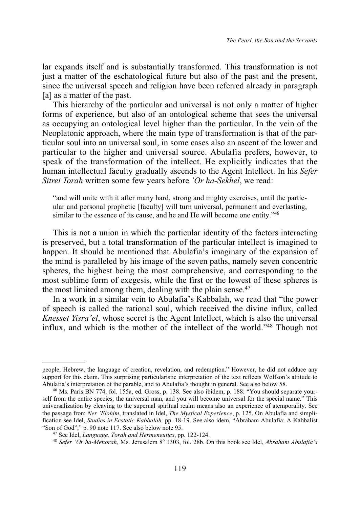lar expands itself and is substantially transformed. This transformation is not just a matter of the eschatological future but also of the past and the present, since the universal speech and religion have been referred already in paragraph [a] as a matter of the past.

This hierarchy of the particular and universal is not only a matter of higher forms of experience, but also of an ontological scheme that sees the universal as occupying an ontological level higher than the particular. In the vein of the Neoplatonic approach, where the main type of transformation is that of the particular soul into an universal soul, in some cases also an ascent of the lower and particular to the higher and universal source. Abulafia prefers, however, to speak of the transformation of the intellect. He explicitly indicates that the human intellectual faculty gradually ascends to the Agent Intellect. In his *Sefer Sitrei Torah* written some few years before *'Or ha-Sekhel*, we read:

"and will unite with it after many hard, strong and mighty exercises, until the particular and personal prophetic [faculty] will turn universal, permanent and everlasting, similar to the essence of its cause, and he and He will become one entity."<sup>46</sup>

This is not a union in which the particular identity of the factors interacting is preserved, but a total transformation of the particular intellect is imagined to happen. It should be mentioned that Abulafia's imaginary of the expansion of the mind is paralleled by his image of the seven paths, namely seven concentric spheres, the highest being the most comprehensive, and corresponding to the most sublime form of exegesis, while the first or the lowest of these spheres is the most limited among them, dealing with the plain sense.<sup>47</sup>

In a work in a similar vein to Abulafia's Kabbalah, we read that "the power of speech is called the rational soul, which received the divine influx, called *Knesset Yisra'el*, whose secret is the Agent Intellect, which is also the universal influx, and which is the mother of the intellect of the world."48 Though not

people, Hebrew, the language of creation, revelation, and redemption." However, he did not adduce any support for this claim. This surprising particularistic interpretation of the text reflects Wolfson's attitude to Abulafia's interpretation of the parable, and to Abulafia's thought in general. See also below 58.

<sup>46</sup> Ms. Paris BN 774, fol. 155a, ed. Gross, p. 138. See also ibidem, p. 188: "You should separate yourself from the entire species, the universal man, and you will become universal for the special name." This universalization by cleaving to the supernal spiritual realm means also an experience of atemporality. See the passage from *Ner 'Elohim*, translated in Idel, *The Mystical Experience*, p. 125. On Abulafia and simplification see Idel, *Studies in Ecstatic Kabbalah,* pp. 18-19. See also idem, "Abraham Abulafia: A Kabbalist "Son of God"," p. 90 note 117. See also below note 95.

<sup>47</sup> See Idel, *Language, Torah and Hermeneutics*, pp. 122-124.

<sup>&</sup>lt;sup>48</sup> *Sefer 'Or ha-Menorah*, Ms. Jerusalem  $8^0$  1303, fol. 28b. On this book see Idel, *Abraham Abulafia's*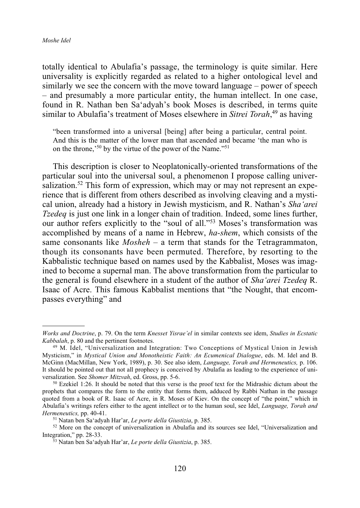totally identical to Abulafia's passage, the terminology is quite similar. Here universality is explicitly regarded as related to a higher ontological level and similarly we see the concern with the move toward language – power of speech – and presumably a more particular entity, the human intellect. In one case, found in R. Nathan ben Sa'adyah's book Moses is described, in terms quite similar to Abulafia's treatment of Moses elsewhere in *Sitrei Torah*, <sup>49</sup> as having

"been transformed into a universal [being] after being a particular, central point. And this is the matter of the lower man that ascended and became 'the man who is on the throne,'50 by the virtue of the power of the Name."51

This description is closer to Neoplatonically-oriented transformations of the particular soul into the universal soul, a phenomenon I propose calling universalization.<sup>52</sup> This form of expression, which may or may not represent an experience that is different from others described as involving cleaving and a mystical union, already had a history in Jewish mysticism, and R. Nathan's *Sha'arei Tzedeq* is just one link in a longer chain of tradition. Indeed, some lines further, our author refers explicitly to the "soul of all."53 Moses's transformation was accomplished by means of a name in Hebrew, *ha-shem*, which consists of the same consonants like *Mosheh* – a term that stands for the Tetragrammaton, though its consonants have been permuted. Therefore, by resorting to the Kabbalistic technique based on names used by the Kabbalist, Moses was imagined to become a supernal man. The above transformation from the particular to the general is found elsewhere in a student of the author of *Sha'arei Tzedeq* R. Isaac of Acre. This famous Kabbalist mentions that "the Nought, that encompasses everything" and

*Works and Doctrine*, p. 79. On the term *Knesset Yisrae'el* in similar contexts see idem, *Studies in Ecstatic Kabbalah*, p. 80 and the pertinent footnotes.

<sup>49</sup> M. Idel, "Universalization and Integration: Two Conceptions of Mystical Union in Jewish Mysticism," in *Mystical Union and Monotheistic Faith: An Ecumenical Dialogue*, eds. M. Idel and B. McGinn (MacMillan, New York, 1989), p. 30. See also idem, *Language, Torah and Hermeneutics,* p. 106. It should be pointed out that not all prophecy is conceived by Abulafia as leading to the experience of universalization. See *Shomer Mitzvah*, ed. Gross, pp. 5-6.

<sup>&</sup>lt;sup>50</sup> Ezekiel 1:26. It should be noted that this verse is the proof text for the Midrashic dictum about the prophets that compares the form to the entity that forms them, adduced by Rabbi Nathan in the passage quoted from a book of R. Isaac of Acre, in R. Moses of Kiev. On the concept of "the point," which in Abulafia's writings refers either to the agent intellect or to the human soul, see Idel, *Language, Torah and Hermeneutics,* pp. 40-41.

<sup>51</sup> Natan ben Sa'adyah Har'ar, *Le porte della Giustizia*, p. 385.

<sup>52</sup> More on the concept of universalization in Abulafia and its sources see Idel, "Universalization and Integration," pp. 28-33.

<sup>53</sup> Natan ben Sa'adyah Har'ar, *Le porte della Giustizia*, p. 385.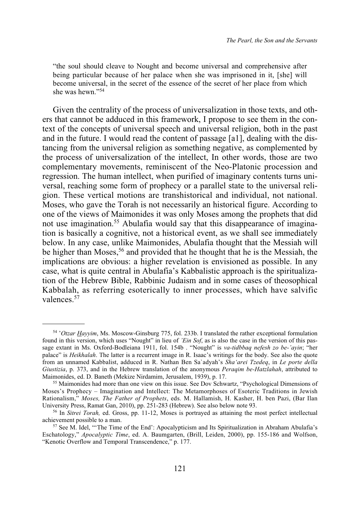"the soul should cleave to Nought and become universal and comprehensive after being particular because of her palace when she was imprisoned in it, [she] will become universal, in the secret of the essence of the secret of her place from which she was hewn."54

Given the centrality of the process of universalization in those texts, and others that cannot be adduced in this framework, I propose to see them in the context of the concepts of universal speech and universal religion, both in the past and in the future. I would read the content of passage [a1], dealing with the distancing from the universal religion as something negative, as complemented by the process of universalization of the intellect, In other words, those are two complementary movements, reminiscent of the Neo-Platonic procession and regression. The human intellect, when purified of imaginary contents turns universal, reaching some form of prophecy or a parallel state to the universal religion. These vertical motions are transhistorical and individual, not national. Moses, who gave the Torah is not necessarily an historical figure. According to one of the views of Maimonides it was only Moses among the prophets that did not use imagination.<sup>55</sup> Abulafia would say that this disappearance of imagination is basically a cognitive, not a historical event, as we shall see immediately below. In any case, unlike Maimonides, Abulafia thought that the Messiah will be higher than Moses,<sup>56</sup> and provided that he thought that he is the Messiah, the implications are obvious: a higher revelation is envisioned as possible. In any case, what is quite central in Abulafia's Kabbalistic approach is the spiritualization of the Hebrew Bible, Rabbinic Judaism and in some cases of theosophical Kabbalah, as referring esoterically to inner processes, which have salvific valences<sup>57</sup>

<sup>54</sup> '*Otzar Hayyim*, Ms. Moscow-Ginsburg 775, fol. 233b. I translated the rather exceptional formulation found in this version, which uses "Nought" in lieu of *'Ein Sof*, as is also the case in the version of this passage extant in Ms. Oxford-Bodleiana 1911, fol. 154b . "Nought" is *va-tidbbaq nefesh zo be-'ayin*; "her palace" is *Heikhalah*. The latter is a recurrent image in R. Isaac's writings for the body. See also the quote from an unnamed Kabbalist, adduced in R. Nathan Ben Sa`adyah's *Sha'arei Tzedeq*, in *Le porte della Giustizia*, p. 373, and in the Hebrew translation of the anonymous *Peraqim be-Hatzlahah*, attributed to Maimonides, ed. D. Baneth (Mekize Nirdamim, Jerusalem, 1939), p. 17.

<sup>&</sup>lt;sup>55</sup> Maimonides had more than one view on this issue. See Dov Schwartz, "Psychological Dimensions of Moses's Prophecy – Imagination and Intellect: The Metamorphoses of Esoteric Traditions in Jewish Rationalism," *Moses, The Father of Prophets*, eds. M. Hallamish, H. Kasher, H. ben Pazi, (Bar Ilan University Press, Ramat Gan, 2010), pp. 251-283 (Hebrew). See also below note 93.

<sup>56</sup> In *Sitrei Torah,* ed. Gross, pp. 11-12, Moses is portrayed as attaining the most perfect intellectual achievement possible to a man.

<sup>57</sup> See M. Idel, "'The Time of the End': Apocalypticism and Its Spiritualization in Abraham Abulafia's Eschatology," *Apocalyptic Time*, ed. A. Baumgarten, (Brill, Leiden, 2000), pp. 155-186 and Wolfson, "Kenotic Overflow and Temporal Transcendence," p. 177.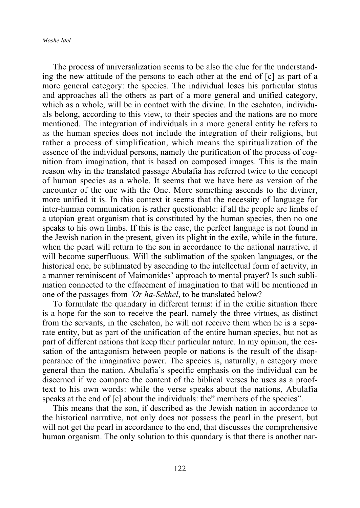#### *Moshe Idel*

The process of universalization seems to be also the clue for the understanding the new attitude of the persons to each other at the end of [c] as part of a more general category: the species. The individual loses his particular status and approaches all the others as part of a more general and unified category, which as a whole, will be in contact with the divine. In the eschaton, individuals belong, according to this view, to their species and the nations are no more mentioned. The integration of individuals in a more general entity he refers to as the human species does not include the integration of their religions, but rather a process of simplification, which means the spiritualization of the essence of the individual persons, namely the purification of the process of cognition from imagination, that is based on composed images. This is the main reason why in the translated passage Abulafia has referred twice to the concept of human species as a whole. It seems that we have here as version of the encounter of the one with the One. More something ascends to the diviner, more unified it is. In this context it seems that the necessity of language for inter-human communication is rather questionable: if all the people are limbs of a utopian great organism that is constituted by the human species, then no one speaks to his own limbs. If this is the case, the perfect language is not found in the Jewish nation in the present, given its plight in the exile, while in the future, when the pearl will return to the son in accordance to the national narrative, it will become superfluous. Will the sublimation of the spoken languages, or the historical one, be sublimated by ascending to the intellectual form of activity, in a manner reminiscent of Maimonides' approach to mental prayer? Is such sublimation connected to the effacement of imagination to that will be mentioned in one of the passages from *'Or ha-Sekhel*, to be translated below?

To formulate the quandary in different terms: if in the exilic situation there is a hope for the son to receive the pearl, namely the three virtues, as distinct from the servants, in the eschaton, he will not receive them when he is a separate entity, but as part of the unification of the entire human species, but not as part of different nations that keep their particular nature. In my opinion, the cessation of the antagonism between people or nations is the result of the disappearance of the imaginative power. The species is, naturally, a category more general than the nation. Abulafia's specific emphasis on the individual can be discerned if we compare the content of the biblical verses he uses as a prooftext to his own words: while the verse speaks about the nations, Abulafia speaks at the end of [c] about the individuals: the" members of the species".

This means that the son, if described as the Jewish nation in accordance to the historical narrative, not only does not possess the pearl in the present, but will not get the pearl in accordance to the end, that discusses the comprehensive human organism. The only solution to this quandary is that there is another nar-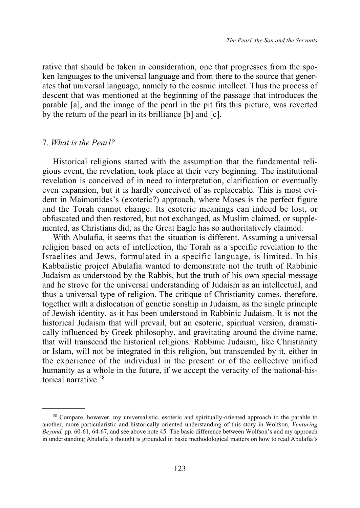rative that should be taken in consideration, one that progresses from the spoken languages to the universal language and from there to the source that generates that universal language, namely to the cosmic intellect. Thus the process of descent that was mentioned at the beginning of the passage that introduces the parable [a], and the image of the pearl in the pit fits this picture, was reverted by the return of the pearl in its brilliance [b] and [c].

#### 7. *What is the Pearl?*

Historical religions started with the assumption that the fundamental religious event, the revelation, took place at their very beginning. The institutional revelation is conceived of in need to interpretation, clarification or eventually even expansion, but it is hardly conceived of as replaceable. This is most evident in Maimonides's (exoteric?) approach, where Moses is the perfect figure and the Torah cannot change. Its esoteric meanings can indeed be lost, or obfuscated and then restored, but not exchanged, as Muslim claimed, or supplemented, as Christians did, as the Great Eagle has so authoritatively claimed.

With Abulafia, it seems that the situation is different. Assuming a universal religion based on acts of intellection, the Torah as a specific revelation to the Israelites and Jews, formulated in a specific language, is limited. In his Kabbalistic project Abulafia wanted to demonstrate not the truth of Rabbinic Judaism as understood by the Rabbis, but the truth of his own special message and he strove for the universal understanding of Judaism as an intellectual, and thus a universal type of religion. The critique of Christianity comes, therefore, together with a dislocation of genetic sonship in Judaism, as the single principle of Jewish identity, as it has been understood in Rabbinic Judaism. It is not the historical Judaism that will prevail, but an esoteric, spiritual version, dramatically influenced by Greek philosophy, and gravitating around the divine name, that will transcend the historical religions. Rabbinic Judaism, like Christianity or Islam, will not be integrated in this religion, but transcended by it, either in the experience of the individual in the present or of the collective unified humanity as a whole in the future, if we accept the veracity of the national-historical narrative.58

<sup>58</sup> Compare, however, my universalistic, esoteric and spiritually-oriented approach to the parable to another, more particularistic and historically-oriented understanding of this story in Wolfson, *Venturing Beyond,* pp. 60-61, 64-67, and see above note 45. The basic difference between Wolfson's and my approach in understanding Abulafia's thought is grounded in basic methodological matters on how to read Abulafia's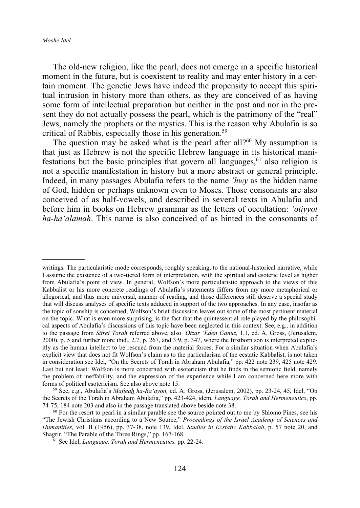The old-new religion, like the pearl, does not emerge in a specific historical moment in the future, but is coexistent to reality and may enter history in a certain moment. The genetic Jews have indeed the propensity to accept this spiritual intrusion in history more than others, as they are conceived of as having some form of intellectual preparation but neither in the past and nor in the present they do not actually possess the pearl, which is the patrimony of the "real" Jews, namely the prophets or the mystics. This is the reason why Abulafia is so critical of Rabbis, especially those in his generation.59

The question may be asked what is the pearl after all?<sup>60</sup> My assumption is that just as Hebrew is not the specific Hebrew language in its historical manifestations but the basic principles that govern all languages, $61$  also religion is not a specific manifestation in history but a more abstract or general principle. Indeed, in many passages Abulafia refers to the name *'hwy* as the hidden name of God, hidden or perhaps unknown even to Moses. Those consonants are also conceived of as half-vowels, and described in several texts in Abulafia and before him in books on Hebrew grammar as the letters of occultation: *'otiyyot ha-ha'alamah*. This name is also conceived of as hinted in the consonants of

writings. The particularistic mode corresponds, roughly speaking, to the national-historical narrative, while I assume the existence of a two-tiered form of interpretation, with the spiritual and esoteric level as higher from Abulafia's point of view. In general, Wolfson's more particularistic approach to the views of this Kabbalist or his more concrete readings of Abulafia's statements differs from my more metaphorical or allegorical, and thus more universal, manner of reading, and those differences still deserve a special study that will discuss analyses of specific texts adduced in support of the two approaches. In any case, insofar as the topic of sonship is concerned, Wolfson's brief discussion leaves out some of the most pertinent material on the topic. What is even more surprising, is the fact that the quintessential role played by the philosophical aspects of Abulafia's discussions of this topic have been neglected in this context. See, e.g., in addition to the passage from *Sitrei Torah* referred above, also *'Otzar 'Eden Ganuz,* 1.1, ed. A. Gross, (Jerusalem, 2000), p. 5 and further more ibid., 2.7, p. 267, and 3:9, p. 347, where the firstborn son is interpreted explicitly as the human intellect to be rescued from the material forces. For a similar situation when Abulafia's explicit view that does not fit Wolfson's claim as to the particularism of the ecstatic Kabbalist, is not taken in consideration see Idel, "On the Secrets of Torah in Abraham Abulafia," pp. 422 note 239, 425 note 429. Last but not least: Wolfson is more concerned with esotericism that he finds in the semiotic field, namely the problem of ineffability, and the expression of the experience while I am concerned here more with forms of political esotericism. See also above note 15.

<sup>59</sup> See, e.g., Abulafia's *Mafteah ha-Ra'ayon,* ed. A. Gross, (Jerusalem, 2002), pp. 23-24, 45, Idel, "On the Secrets of the Torah in Abraham Abulafia," pp. 423-424, idem, *Language, Torah and Hermeneutics*, pp. 74-75, 184 note 203 and also in the passage translated above beside note 38.

 $60$  For the resort to pearl in a similar parable see the source pointed out to me by Shlomo Pines, see his "The Jewish Christians according to a New Source," *Proceedings of the Israel Academy of Sciences and Humanities,* vol. II (1956), pp. 37-38, note 139, Idel, *Studies in Ecstatic Kabbalah*, p. 57 note 20, and Shagrir, "The Parable of the Three Rings," pp. 167-168.

<sup>61</sup> See Idel, *Language, Torah and Hermeneutics,* pp. 22-24.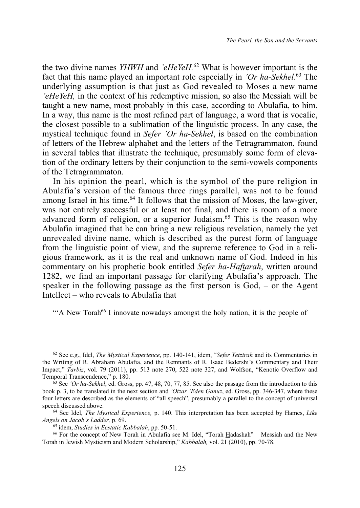the two divine names *YHWH* and *'eHeYeH.*<sup>62</sup> What is however important is the fact that this name played an important role especially in *'Or ha-Sekhel*. <sup>63</sup> The underlying assumption is that just as God revealed to Moses a new name *'eHeYeH,* in the context of his redemptive mission, so also the Messiah will be taught a new name, most probably in this case, according to Abulafia, to him. In a way, this name is the most refined part of language, a word that is vocalic, the closest possible to a sublimation of the linguistic process. In any case, the mystical technique found in *Sefer 'Or ha-Sekhel*, is based on the combination of letters of the Hebrew alphabet and the letters of the Tetragrammaton, found in several tables that illustrate the technique, presumably some form of elevation of the ordinary letters by their conjunction to the semi-vowels components of the Tetragrammaton.

In his opinion the pearl, which is the symbol of the pure religion in Abulafia's version of the famous three rings parallel, was not to be found among Israel in his time.<sup>64</sup> It follows that the mission of Moses, the law-giver, was not entirely successful or at least not final, and there is room of a more advanced form of religion, or a superior Judaism.<sup>65</sup> This is the reason why Abulafia imagined that he can bring a new religious revelation, namely the yet unrevealed divine name, which is described as the purest form of language from the linguistic point of view, and the supreme reference to God in a religious framework, as it is the real and unknown name of God. Indeed in his commentary on his prophetic book entitled *Sefer ha-Haftarah*, written around 1282, we find an important passage for clarifying Abulafia's approach. The speaker in the following passage as the first person is God, – or the Agent Intellect – who reveals to Abulafia that

""A New Torah<sup>66</sup> I innovate nowadays amongst the holy nation, it is the people of

<sup>62</sup> See e.g., Idel, *The Mystical Experience*, pp. 140-141, idem, "*Sefer Yetzirah* and its Commentaries in the Writing of R. Abraham Abulafia, and the Remnants of R. Isaac Bedershi's Commentary and Their Impact," *Tarbiz*, vol. 79 (2011), pp. 513 note 270, 522 note 327, and Wolfson, "Kenotic Overflow and Temporal Transcendence," p. 180.

<sup>63</sup> See *'Or ha-Sekhel*, ed. Gross, pp. 47, 48, 70, 77, 85. See also the passage from the introduction to this book p. 3, to be translated in the next section and *'Otzar 'Eden Ganuz*, ed. Gross, pp. 346-347, where these four letters are described as the elements of "all speech", presumably a parallel to the concept of universal speech discussed above.

<sup>64</sup> See Idel, *The Mystical Experience,* p. 140. This interpretation has been accepted by Hames, *Like Angels on Jacob's Ladder,* p. 69.

<sup>65</sup> idem, *Studies in Ecstatic Kabbalah*, pp. 50-51.

*<sup>66</sup>* For the concept of New Torah in Abulafia see M. Idel, "Torah Hadashah" – Messiah and the New Torah in Jewish Mysticism and Modern Scholarship," *Kabbalah,* vol. 21 (2010), pp. 70-78.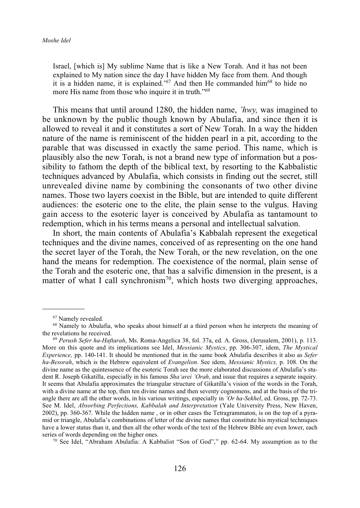Israel, [which is] My sublime Name that is like a New Torah. And it has not been explained to My nation since the day I have hidden My face from them. And though it is a hidden name, it is explained.<sup>'67</sup> And then He commanded him<sup>68</sup> to hide no more His name from those who inquire it in truth."<sup>69</sup>

This means that until around 1280, the hidden name, *'hwy,* was imagined to be unknown by the public though known by Abulafia, and since then it is allowed to reveal it and it constitutes a sort of New Torah. In a way the hidden nature of the name is reminiscent of the hidden pearl in a pit, according to the parable that was discussed in exactly the same period. This name, which is plausibly also the new Torah, is not a brand new type of information but a possibility to fathom the depth of the biblical text, by resorting to the Kabbalistic techniques advanced by Abulafia, which consists in finding out the secret, still unrevealed divine name by combining the consonants of two other divine names. Those two layers coexist in the Bible, but are intended to quite different audiences: the esoteric one to the elite, the plain sense to the vulgus. Having gain access to the esoteric layer is conceived by Abulafia as tantamount to redemption, which in his terms means a personal and intellectual salvation.

In short, the main contents of Abulafia's Kabbalah represent the exegetical techniques and the divine names, conceived of as representing on the one hand the secret layer of the Torah, the New Torah, or the new revelation, on the one hand the means for redemption. The coexistence of the normal, plain sense of the Torah and the esoteric one, that has a salvific dimension in the present, is a matter of what I call synchronism<sup>70</sup>, which hosts two diverging approaches,

<sup>70</sup> See Idel, "Abraham Abulafia: A Kabbalist "Son of God"," pp. 62-64. My assumption as to the

<sup>67</sup> Namely revealed.

<sup>&</sup>lt;sup>68</sup> Namely to Abulafia, who speaks about himself at a third person when he interprets the meaning of the revelations he received.

<sup>69</sup> *Perush Sefer ha-Haftarah*, Ms. Roma-Angelica 38, fol. 37a, ed. A. Gross, (Jerusalem, 2001), p. 113. More on this quote and its implications see Idel, *Messianic Mystics*, pp. 306-307, idem, *The Mystical Experience,* pp. 140-141. It should be mentioned that in the same book Abulafia describes it also as *Sefer ha-Besorah*, which is the Hebrew equivalent of *Evangelion*. See idem, *Messianic Mystics,* p. 108. On the divine name as the quintessence of the esoteric Torah see the more elaborated discussions of Abulafia's student R. Joseph Gikatilla, especially in his famous *Sha'arei 'Orah*, and issue that requires a separate inquiry. It seems that Abulafia approximates the triangular structure of Gikatilla's vision of the words in the Torah, with a divine name at the top, then ten divine names and then seventy cognomens, and at the basis of the triangle there are all the other words, in his various writings, especially in *'Or ha-Sekhel*, ed. Gross, pp. 72-73. See M. Idel, *Absorbing Perfections, Kabbalah and Interpretation* (Yale University Press, New Haven, 2002), pp. 360-367. While the hidden name , or in other cases the Tetragrammaton, is on the top of a pyramid or triangle, Abulafia's combinations of letter of the divine names that constitute his mystical techniques have a lower status than it, and then all the other words of the text of the Hebrew Bible are even lower, each series of words depending on the higher ones.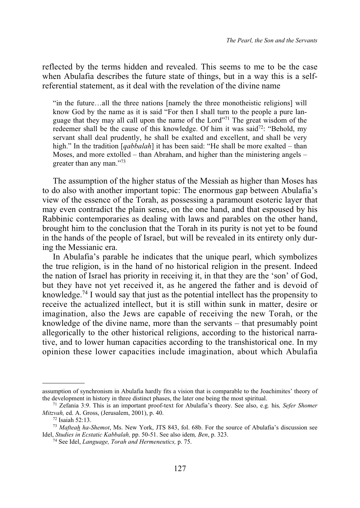reflected by the terms hidden and revealed. This seems to me to be the case when Abulafia describes the future state of things, but in a way this is a selfreferential statement, as it deal with the revelation of the divine name

"in the future…all the three nations [namely the three monotheistic religions] will know God by the name as it is said "For then I shall turn to the people a pure language that they may all call upon the name of the Lord"71 The great wisdom of the redeemer shall be the cause of this knowledge. Of him it was said<sup>72</sup>: "Behold, my servant shall deal prudently, he shall be exalted and excellent, and shall be very high." In the tradition [*qabbalah*] it has been said: "He shall be more exalted – than Moses, and more extolled – than Abraham, and higher than the ministering angels – greater than any man."73

The assumption of the higher status of the Messiah as higher than Moses has to do also with another important topic: The enormous gap between Abulafia's view of the essence of the Torah, as possessing a paramount esoteric layer that may even contradict the plain sense, on the one hand, and that espoused by his Rabbinic contemporaries as dealing with laws and parables on the other hand, brought him to the conclusion that the Torah in its purity is not yet to be found in the hands of the people of Israel, but will be revealed in its entirety only during the Messianic era.

In Abulafia's parable he indicates that the unique pearl, which symbolizes the true religion, is in the hand of no historical religion in the present. Indeed the nation of Israel has priority in receiving it, in that they are the 'son' of God, but they have not yet received it, as he angered the father and is devoid of knowledge.74 I would say that just as the potential intellect has the propensity to receive the actualized intellect, but it is still within sunk in matter, desire or imagination, also the Jews are capable of receiving the new Torah, or the knowledge of the divine name, more than the servants – that presumably point allegorically to the other historical religions, according to the historical narrative, and to lower human capacities according to the transhistorical one. In my opinion these lower capacities include imagination, about which Abulafia

assumption of synchronism in Abulafia hardly fits a vision that is comparable to the Joachimites' theory of the development in history in three distinct phases, the later one being the most spiritual.

<sup>71</sup> Zefania 3:9. This is an important proof-text for Abulafia's theory. See also, e.g*.* his*, Sefer Shomer Mitzvah,* ed. A. Gross, (Jerusalem, 2001), p. 40.

<sup>72</sup> Isaiah 52:13.

<sup>73</sup> *Mafteah ha-Shemot*, Ms. New York, JTS 843, fol. 68b. For the source of Abulafia's discussion see Idel, *Studies in Ecstatic Kabbalah,* pp. 50-51. See also idem*, Ben*, p. 323.

<sup>74</sup> See Idel, *Language, Torah and Hermeneutics,* p. 75.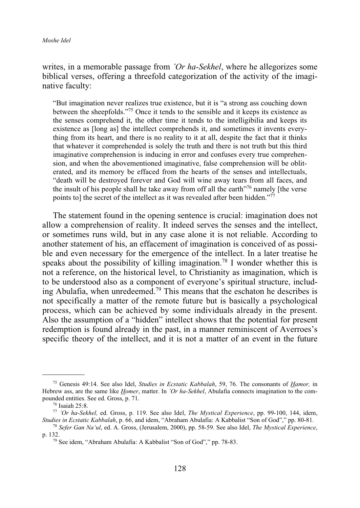#### writes, in a memorable passage from *'Or ha-Sekhel*, where he allegorizes some biblical verses, offering a threefold categorization of the activity of the imaginative faculty:

"But imagination never realizes true existence, but it is "a strong ass couching down between the sheepfolds."75 Once it tends to the sensible and it keeps its existence as the senses comprehend it, the other time it tends to the intelligibilia and keeps its existence as [long as] the intellect comprehends it, and sometimes it invents everything from its heart, and there is no reality to it at all, despite the fact that it thinks that whatever it comprehended is solely the truth and there is not truth but this third imaginative comprehension is inducing in error and confuses every true comprehension, and when the abovementioned imaginative, false comprehension will be obliterated, and its memory be effaced from the hearts of the senses and intellectuals, "death will be destroyed forever and God will wine away tears from all faces, and the insult of his people shall he take away from off all the earth $\frac{1}{10}$ <sup>76</sup> namely [the verse points to] the secret of the intellect as it was revealed after been hidden."77

The statement found in the opening sentence is crucial: imagination does not allow a comprehension of reality. It indeed serves the senses and the intellect, or sometimes runs wild, but in any case alone it is not reliable. According to another statement of his, an effacement of imagination is conceived of as possible and even necessary for the emergence of the intellect. In a later treatise he speaks about the possibility of killing imagination.<sup>78</sup> I wonder whether this is not a reference, on the historical level, to Christianity as imagination, which is to be understood also as a component of everyone's spiritual structure, including Abulafia, when unredeemed.79 This means that the eschaton he describes is not specifically a matter of the remote future but is basically a psychological process, which can be achieved by some individuals already in the present. Also the assumption of a "hidden" intellect shows that the potential for present redemption is found already in the past, in a manner reminiscent of Averroes's specific theory of the intellect, and it is not a matter of an event in the future

<sup>75</sup> Genesis 49:14. See also Idel, *Studies in Ecstatic Kabbalah*, 59, 76. The consonants of *Hamor,* in Hebrew ass, are the same like *Homer*, matter. In *'Or ha-Sekhel*, Abulafia connects imagination to the compounded entities. See ed. Gross, p. 71.

<sup>76</sup> Isaiah 25:8.

<sup>77</sup> *'Or ha-Sekhel,* ed. Gross, p. 119. See also Idel, *The Mystical Experience*, pp. 99-100, 144, idem, *Studies in Ecstatic Kabbalah*, p. 66, and idem, "Abraham Abulafia: A Kabbalist "Son of God"," pp. 80-81.

<sup>78</sup> *Sefer Gan Na'ul*, ed. A. Gross, (Jerusalem, 2000), pp. 58-59. See also Idel, *The Mystical Experience*, p. 132.

<sup>79</sup> See idem, "Abraham Abulafia: A Kabbalist "Son of God"," pp. 78-83.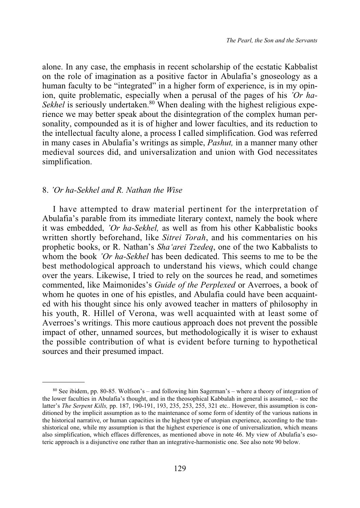alone. In any case, the emphasis in recent scholarship of the ecstatic Kabbalist on the role of imagination as a positive factor in Abulafia's gnoseology as a human faculty to be "integrated" in a higher form of experience, is in my opinion, quite problematic, especially when a perusal of the pages of his *'Or ha-Sekhel* is seriously undertaken.<sup>80</sup> When dealing with the highest religious experience we may better speak about the disintegration of the complex human personality, compounded as it is of higher and lower faculties, and its reduction to the intellectual faculty alone, a process I called simplification. God was referred in many cases in Abulafia's writings as simple, *Pashut,* in a manner many other medieval sources did, and universalization and union with God necessitates simplification.

#### 8. *'Or ha-Sekhel and R. Nathan the Wise*

I have attempted to draw material pertinent for the interpretation of Abulafia's parable from its immediate literary context, namely the book where it was embedded, *'Or ha-Sekhel,* as well as from his other Kabbalistic books written shortly beforehand, like *Sitrei Torah*, and his commentaries on his prophetic books, or R. Nathan's *Sha'arei Tzedeq*, one of the two Kabbalists to whom the book *'Or ha-Sekhel* has been dedicated. This seems to me to be the best methodological approach to understand his views, which could change over the years. Likewise, I tried to rely on the sources he read, and sometimes commented, like Maimonides's *Guide of the Perplexed* or Averroes, a book of whom he quotes in one of his epistles, and Abulafia could have been acquainted with his thought since his only avowed teacher in matters of philosophy in his youth, R. Hillel of Verona, was well acquainted with at least some of Averroes's writings. This more cautious approach does not prevent the possible impact of other, unnamed sources, but methodologically it is wiser to exhaust the possible contribution of what is evident before turning to hypothetical sources and their presumed impact.

<sup>80</sup> See ibidem, pp. 80-85. Wolfson's – and following him Sagerman's – where a theory of integration of the lower faculties in Abulafia's thought, and in the theosophical Kabbalah in general is assumed, – see the latter's *The Serpent Kills,* pp. 187, 190-191, 193, 235, 253, 255, 321 etc.. However, this assumption is conditioned by the implicit assumption as to the maintenance of some form of identity of the various nations in the historical narrative, or human capacities in the highest type of utopian experience, according to the transhistorical one, while my assumption is that the highest experience is one of universalization, which means also simplification, which effaces differences, as mentioned above in note 46. My view of Abulafia's esoteric approach is a disjunctive one rather than an integrative-harmonistic one. See also note 90 below.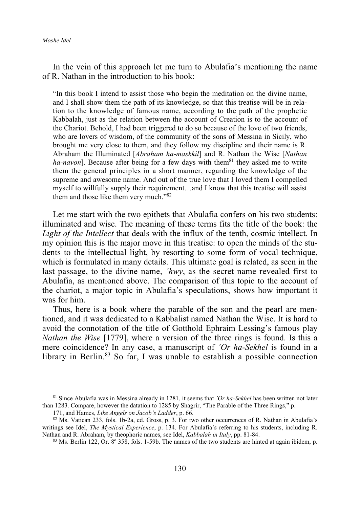#### *Moshe Idel*

In the vein of this approach let me turn to Abulafia's mentioning the name of R. Nathan in the introduction to his book:

"In this book I intend to assist those who begin the meditation on the divine name, and I shall show them the path of its knowledge, so that this treatise will be in relation to the knowledge of famous name, according to the path of the prophetic Kabbalah, just as the relation between the account of Creation is to the account of the Chariot. Behold, I had been triggered to do so because of the love of two friends, who are lovers of wisdom, of the community of the sons of Messina in Sicily, who brought me very close to them, and they follow my discipline and their name is R. Abraham the Illuminated [*Abraham ha-maskkil*] and R. Nathan the Wise [*Nathan ha-navon*]. Because after being for a few days with them<sup>81</sup> they asked me to write them the general principles in a short manner, regarding the knowledge of the supreme and awesome name. And out of the true love that I loved them I compelled myself to willfully supply their requirement…and I know that this treatise will assist them and those like them very much."<sup>82</sup>

Let me start with the two epithets that Abulafia confers on his two students: illuminated and wise. The meaning of these terms fits the title of the book: the *Light of the Intellect* that deals with the influx of the tenth, cosmic intellect. In my opinion this is the major move in this treatise: to open the minds of the students to the intellectual light, by resorting to some form of vocal technique, which is formulated in many details. This ultimate goal is related, as seen in the last passage, to the divine name, *'hwy*, as the secret name revealed first to Abulafia, as mentioned above. The comparison of this topic to the account of the chariot, a major topic in Abulafia's speculations, shows how important it was for him.

Thus, here is a book where the parable of the son and the pearl are mentioned, and it was dedicated to a Kabbalist named Nathan the Wise. It is hard to avoid the connotation of the title of Gotthold Ephraim Lessing's famous play *Nathan the Wise* [1779], where a version of the three rings is found. Is this a mere coincidence? In any case, a manuscript of *'Or ha-Sekhel* is found in a library in Berlin.<sup>83</sup> So far, I was unable to establish a possible connection

<sup>81</sup> Since Abulafia was in Messina already in 1281, it seems that *'Or ha-Sekhel* has been written not later than 1283. Compare, however the datation to 1285 by Shagrir, "The Parable of the Three Rings," p.

<sup>171,</sup> and Hames, *Like Angels on Jacob's Ladder*, p. 66.

<sup>82</sup> Ms. Vatican 233, fols. 1b-2a, ed. Gross, p. 3. For two other occurrences of R. Nathan in Abulafia's writings see Idel, *The Mystical Experience*, p. 134. For Abulafia's referring to his students, including R. Nathan and R. Abraham, by theophoric names, see Idel, *Kabbalah in Italy*, pp. 81-84.

<sup>83</sup> Ms. Berlin 122, Or. 8º 358, fols. 1-59b. The names of the two students are hinted at again ibidem, p.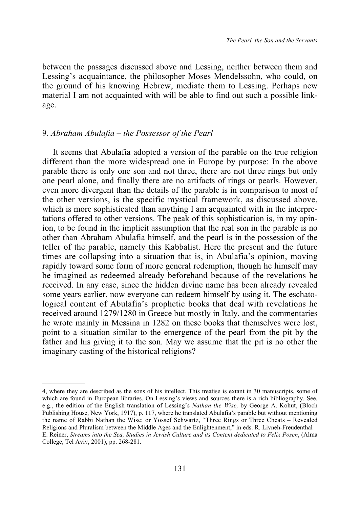between the passages discussed above and Lessing, neither between them and Lessing's acquaintance, the philosopher Moses Mendelssohn, who could, on the ground of his knowing Hebrew, mediate them to Lessing. Perhaps new material I am not acquainted with will be able to find out such a possible linkage.

#### 9. *Abraham Abulafia – the Possessor of the Pearl*

It seems that Abulafia adopted a version of the parable on the true religion different than the more widespread one in Europe by purpose: In the above parable there is only one son and not three, there are not three rings but only one pearl alone, and finally there are no artifacts of rings or pearls. However, even more divergent than the details of the parable is in comparison to most of the other versions, is the specific mystical framework, as discussed above, which is more sophisticated than anything I am acquainted with in the interpretations offered to other versions. The peak of this sophistication is, in my opinion, to be found in the implicit assumption that the real son in the parable is no other than Abraham Abulafia himself, and the pearl is in the possession of the teller of the parable, namely this Kabbalist. Here the present and the future times are collapsing into a situation that is, in Abulafia's opinion, moving rapidly toward some form of more general redemption, though he himself may be imagined as redeemed already beforehand because of the revelations he received. In any case, since the hidden divine name has been already revealed some years earlier, now everyone can redeem himself by using it. The eschatological content of Abulafia's prophetic books that deal with revelations he received around 1279/1280 in Greece but mostly in Italy, and the commentaries he wrote mainly in Messina in 1282 on these books that themselves were lost, point to a situation similar to the emergence of the pearl from the pit by the father and his giving it to the son. May we assume that the pit is no other the imaginary casting of the historical religions?

<sup>4,</sup> where they are described as the sons of his intellect. This treatise is extant in 30 manuscripts, some of which are found in European libraries. On Lessing's views and sources there is a rich bibliography. See, e.g., the edition of the English translation of Lessing's *Nathan the Wise,* by George A. Kohut, (Bloch Publishing House, New York, 1917), p. 117, where he translated Abulafia's parable but without mentioning the name of Rabbi Nathan the Wise; or Yossef Schwartz, "Three Rings or Three Cheats – Revealed Religions and Pluralism between the Middle Ages and the Enlightenment," in eds. R. Livneh-Freudenthal – E. Reiner, *Streams into the Sea, Studies in Jewish Culture and its Content dedicated to Felix Posen*, (Alma College, Tel Aviv, 2001), pp. 268-281.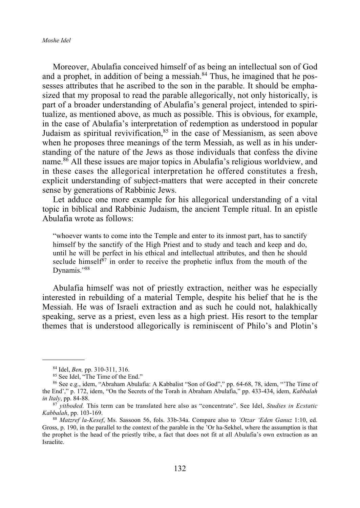#### *Moshe Idel*

Moreover, Abulafia conceived himself of as being an intellectual son of God and a prophet, in addition of being a messiah. $84$  Thus, he imagined that he possesses attributes that he ascribed to the son in the parable. It should be emphasized that my proposal to read the parable allegorically, not only historically, is part of a broader understanding of Abulafia's general project, intended to spiritualize, as mentioned above, as much as possible. This is obvious, for example, in the case of Abulafia's interpretation of redemption as understood in popular Judaism as spiritual revivification, 85 in the case of Messianism, as seen above when he proposes three meanings of the term Messiah, as well as in his understanding of the nature of the Jews as those individuals that confess the divine name.<sup>86</sup> All these issues are major topics in Abulafia's religious worldview, and in these cases the allegorical interpretation he offered constitutes a fresh, explicit understanding of subject-matters that were accepted in their concrete sense by generations of Rabbinic Jews.

Let adduce one more example for his allegorical understanding of a vital topic in biblical and Rabbinic Judaism, the ancient Temple ritual. In an epistle Abulafia wrote as follows:

"whoever wants to come into the Temple and enter to its inmost part, has to sanctify himself by the sanctify of the High Priest and to study and teach and keep and do, until he will be perfect in his ethical and intellectual attributes, and then he should seclude himself $87$  in order to receive the prophetic influx from the mouth of the Dynamis."88

Abulafia himself was not of priestly extraction, neither was he especially interested in rebuilding of a material Temple, despite his belief that he is the Messiah. He was of Israeli extraction and as such he could not, halakhically speaking, serve as a priest, even less as a high priest. His resort to the templar themes that is understood allegorically is reminiscent of Philo's and Plotin's

<sup>84</sup> Idel, *Ben,* pp. 310-311, 316.

<sup>&</sup>lt;sup>85</sup> See Idel, "The Time of the End."

<sup>86</sup> See e.g., idem, "Abraham Abulafia: A Kabbalist "Son of God"," pp. 64-68, 78, idem, "'The Time of the End'," p. 172, idem, "On the Secrets of the Torah in Abraham Abulafia," pp. 433-434, idem, *Kabbalah in Italy*, pp. 84-88.

<sup>87</sup> *yitboded.* This term can be translated here also as "concentrate". See Idel, *Studies in Ecstatic Kabbalah*, pp. 103-169.

<sup>88</sup> *Matzref la-Kesef*, Ms. Sassoon 56, fols. 33b-34a. Compare also to *'Otzar 'Eden Ganuz* 1:10, ed. Gross, p. 190, in the parallel to the context of the parable in the 'Or ha-Sekhel, where the assumption is that the prophet is the head of the priestly tribe, a fact that does not fit at all Abulafia's own extraction as an Israelite.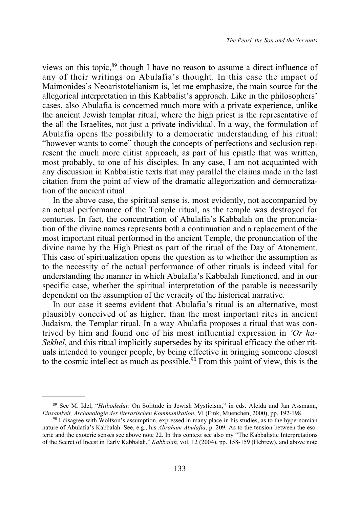views on this topic,<sup>89</sup> though I have no reason to assume a direct influence of any of their writings on Abulafia's thought. In this case the impact of Maimonides's Neoaristotelianism is, let me emphasize, the main source for the allegorical interpretation in this Kabbalist's approach. Like in the philosophers' cases, also Abulafia is concerned much more with a private experience, unlike the ancient Jewish templar ritual, where the high priest is the representative of the all the Israelites, not just a private individual. In a way, the formulation of Abulafia opens the possibility to a democratic understanding of his ritual: "however wants to come" though the concepts of perfections and seclusion represent the much more elitist approach, as part of his epistle that was written, most probably, to one of his disciples. In any case, I am not acquainted with any discussion in Kabbalistic texts that may parallel the claims made in the last citation from the point of view of the dramatic allegorization and democratization of the ancient ritual.

In the above case, the spiritual sense is, most evidently, not accompanied by an actual performance of the Temple ritual, as the temple was destroyed for centuries. In fact, the concentration of Abulafia's Kabbalah on the pronunciation of the divine names represents both a continuation and a replacement of the most important ritual performed in the ancient Temple, the pronunciation of the divine name by the High Priest as part of the ritual of the Day of Atonement. This case of spiritualization opens the question as to whether the assumption as to the necessity of the actual performance of other rituals is indeed vital for understanding the manner in which Abulafia's Kabbalah functioned, and in our specific case, whether the spiritual interpretation of the parable is necessarily dependent on the assumption of the veracity of the historical narrative.

In our case it seems evident that Abulafia's ritual is an alternative, most plausibly conceived of as higher, than the most important rites in ancient Judaism, the Templar ritual. In a way Abulafia proposes a ritual that was contrived by him and found one of his most influential expression in *'Or ha-Sekhel*, and this ritual implicitly supersedes by its spiritual efficacy the other rituals intended to younger people, by being effective in bringing someone closest to the cosmic intellect as much as possible.<sup>90</sup> From this point of view, this is the

<sup>89</sup> See M. Idel, "*Hitbodedut:* On Solitude in Jewish Mysticism," in eds. Aleida und Jan Assmann, *Einsamkeit, Archaeologie der literarischen Kommunikation*, VI (Fink, Muenchen, 2000), pp. 192-198.

<sup>&</sup>lt;sup>90</sup> I disagree with Wolfson's assumption, expressed in many place in his studies, as to the hypernomian nature of Abulafia's Kabbalah. See, e.g., his *Abraham Abulafia*, p. 209. As to the tension between the esoteric and the exoteric senses see above note 22. In this context see also my "The Kabbalistic Interpretations of the Secret of Incest in Early Kabbalah," *Kabbalah,* vol. 12 (2004), pp. 158-159 (Hebrew), and above note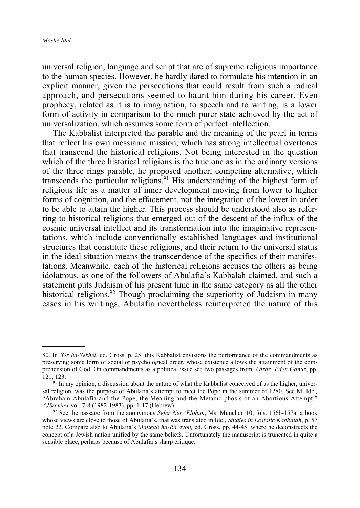universal religion, language and script that are of supreme religious importance to the human species. However, he hardly dared to formulate his intention in an explicit manner, given the persecutions that could result from such a radical approach, and persecutions seemed to haunt him during his career. Even prophecy, related as it is to imagination, to speech and to writing, is a lower form of activity in comparison to the much purer state achieved by the act of universalization, which assumes some form of perfect intellection.

The Kabbalist interpreted the parable and the meaning of the pearl in terms that reflect his own messianic mission, which has strong intellectual overtones that transcend the historical religions. Not being interested in the question which of the three historical religions is the true one as in the ordinary versions of the three rings parable, he proposed another, competing alternative, which transcends the particular religions.<sup>91</sup> His understanding of the highest form of religious life as a matter of inner development moving from lower to higher forms of cognition, and the effacement, not the integration of the lower in order to be able to attain the higher. This process should be understood also as referring to historical religions that emerged out of the descent of the influx of the cosmic universal intellect and its transformation into the imaginative representations, which include conventionally established languages and institutional structures that constitute these religions, and their return to the universal status in the ideal situation means the transcendence of the specifics of their manifestations. Meanwhile, each of the historical religions accuses the others as being idolatrous, as one of the followers of Abulafia's Kabbalah claimed, and such a statement puts Judaism of his present time in the same category as all the other historical religions.<sup>92</sup> Though proclaiming the superiority of Judaism in many cases in his writings, Abulafia nevertheless reinterpreted the nature of this

<sup>80.</sup> In *'Or ha-Sekhel*, ed. Gross, p. 25, this Kabbalist envisions the performance of the commandments as preserving some form of social or psychological order, whose existence allows the attainment of the comprehension of God. On commandments as a political issue see two passages from *'Otzar 'Eden Ganuz*, pp. 121, 123.

 $91$  In my opinion, a discussion about the nature of what the Kabbalist conceived of as the higher, universal religion, was the purpose of Abulafia's attempt to meet the Pope in the summer of 1280. See M. Idel*,* "Abraham Abulafia and the Pope, the Meaning and the Metamorphosis of an Abortious Attempt," *AJSreview* vol. 7-8 (1982-1983), pp. 1-17 (Hebrew).

<sup>92</sup> See the passage from the anonymous *Sefer Ner 'Elohim*, Ms. Munchen 10, fols. 156b-157a, a book whose views are close to those of Abulafia's, that was translated in Idel, *Studies in Ecstatic Kabbalah*, p. 57 note 22. Compare also to Abulafia's *Mafteah ha-Ra'ayon,* ed. Gross, pp. 44-45, where he deconstructs the concept of a Jewish nation unified by the same beliefs. Unfortunately the manuscript is truncated in quite a sensible place, perhaps because of Abulafia's sharp critique.